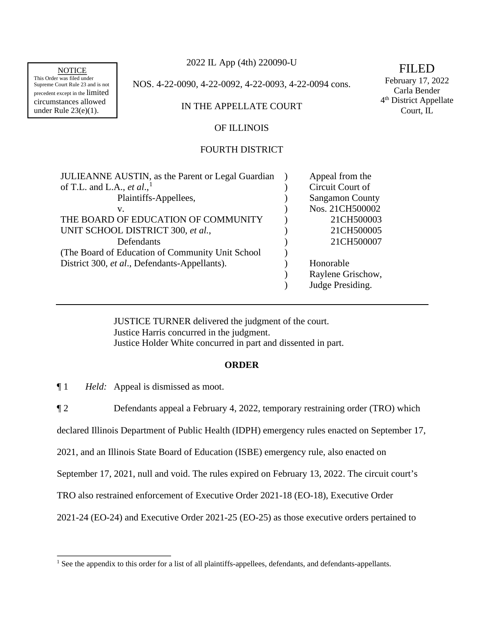precedent except in the limited Carla Bender<br>
circumstances allowed and the limited Carla Bender<br>
DISTIF APPELIA BENGALLE circumstances allowed IN THE APPELLATE COURT 4<sup>th</sup> District App<br>under Rule 23(e)(1). Court, IL

2022 IL App (4th) 220090-U NOTICE  $2022 \text{ L}$  App (4th) 220090-0

This Order was filed under<br>
Supreme Court Rule 23 and is not NOS. 4-22-0090, 4-22-0092, 4-22-0093, 4-22-0094 cons.<br>
Carla Bender Carla Bender

### OF ILLINOIS

# FOURTH DISTRICT

| <b>JULIEANNE AUSTIN, as the Parent or Legal Guardian</b> | Appeal from the        |
|----------------------------------------------------------|------------------------|
| of T.L. and L.A., et al., <sup>1</sup>                   | Circuit Court of       |
| Plaintiffs-Appellees,                                    | <b>Sangamon County</b> |
| v.                                                       | Nos. 21CH500002        |
| THE BOARD OF EDUCATION OF COMMUNITY                      | 21CH500003             |
| UNIT SCHOOL DISTRICT 300, et al.,                        | 21CH500005             |
| Defendants                                               | 21CH500007             |
| (The Board of Education of Community Unit School)        |                        |
| District 300, <i>et al.</i> , Defendants-Appellants).    | Honorable              |
|                                                          | Raylene Grischow,      |
|                                                          | Judge Presiding.       |

JUSTICE TURNER delivered the judgment of the court. Justice Harris concurred in the judgment. Justice Holder White concurred in part and dissented in part.

### **ORDER**

 $\P1$ *Held:* Appeal is dismissed as moot.

¶ 2 Defendants appeal a February 4, 2022, temporary restraining order (TRO) which

declared Illinois Department of Public Health (IDPH) emergency rules enacted on September 17,

2021, and an Illinois State Board of Education (ISBE) emergency rule, also enacted on

September 17, 2021, null and void. The rules expired on February 13, 2022. The circuit court's

TRO also restrained enforcement of Executive Order 2021-18 (EO-18), Executive Order

2021-24 (EO-24) and Executive Order 2021-25 (EO-25) as those executive orders pertained to

<sup>&</sup>lt;sup>1</sup> See the appendix to this order for a list of all plaintiffs-appellees, defendants, and defendants-appellants.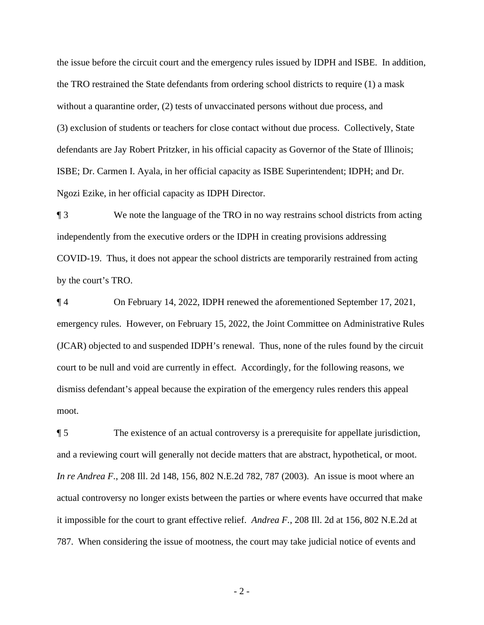the TRO restrained the State defendants from ordering school districts to require (1) a mask the issue before the circuit court and the emergency rules issued by IDPH and ISBE. In addition, without a quarantine order, (2) tests of unvaccinated persons without due process, and (3) exclusion of students or teachers for close contact without due process. Collectively, State defendants are Jay Robert Pritzker, in his official capacity as Governor of the State of Illinois; ISBE; Dr. Carmen I. Ayala, in her official capacity as ISBE Superintendent; IDPH; and Dr. Ngozi Ezike, in her official capacity as IDPH Director.

¶ 3 We note the language of the TRO in no way restrains school districts from acting independently from the executive orders or the IDPH in creating provisions addressing COVID-19. Thus, it does not appear the school districts are temporarily restrained from acting by the court's TRO.

¶ 4 On February 14, 2022, IDPH renewed the aforementioned September 17, 2021, emergency rules. However, on February 15, 2022, the Joint Committee on Administrative Rules (JCAR) objected to and suspended IDPH's renewal. Thus, none of the rules found by the circuit court to be null and void are currently in effect. Accordingly, for the following reasons, we dismiss defendant's appeal because the expiration of the emergency rules renders this appeal moot.

 $\P 5$  it impossible for the court to grant effective relief. *Andrea F.*, 208 Ill. 2d at 156, 802 N.E.2d at The existence of an actual controversy is a prerequisite for appellate jurisdiction, and a reviewing court will generally not decide matters that are abstract, hypothetical, or moot. *In re Andrea F.*, 208 Ill. 2d 148, 156, 802 N.E.2d 782, 787 (2003). An issue is moot where an actual controversy no longer exists between the parties or where events have occurred that make 787. When considering the issue of mootness, the court may take judicial notice of events and

- 2 -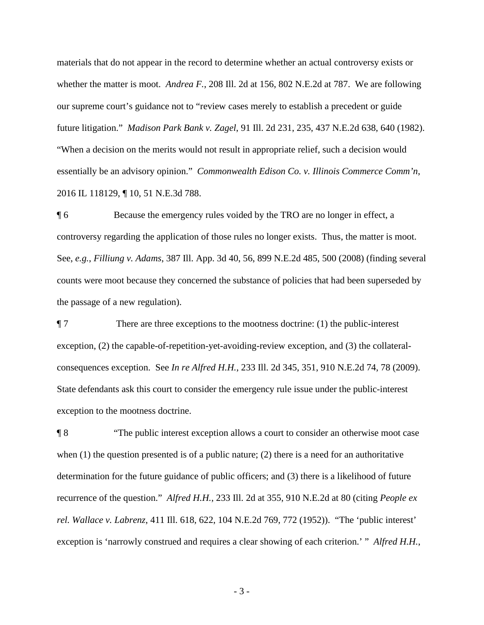whether the matter is moot. *Andrea F.*, 208 Ill. 2d at 156, 802 N.E.2d at 787. We are following future litigation." *Madison Park Bank v. Zagel*, 91 Ill. 2d 231, 235, 437 N.E.2d 638, 640 (1982). essentially be an advisory opinion." *Commonwealth Edison Co. v. Illinois Commerce Comm'n*, materials that do not appear in the record to determine whether an actual controversy exists or our supreme court's guidance not to "review cases merely to establish a precedent or guide "When a decision on the merits would not result in appropriate relief, such a decision would 2016 IL 118129, ¶ 10, 51 N.E.3d 788.

 $\P6$ Because the emergency rules voided by the TRO are no longer in effect, a controversy regarding the application of those rules no longer exists. Thus, the matter is moot. See, *e.g.*, *Filliung v. Adams*, 387 Ill. App. 3d 40, 56, 899 N.E.2d 485, 500 (2008) (finding several counts were moot because they concerned the substance of policies that had been superseded by the passage of a new regulation).

 $\P$  7 There are three exceptions to the mootness doctrine:  $(1)$  the public-interest exception, (2) the capable-of-repetition-yet-avoiding-review exception, and (3) the collateralconsequences exception. See *In re Alfred H.H.*, 233 Ill. 2d 345, 351, 910 N.E.2d 74, 78 (2009). State defendants ask this court to consider the emergency rule issue under the public-interest exception to the mootness doctrine.

 $\P 8$  recurrence of the question." *Alfred H.H.*, 233 Ill. 2d at 355, 910 N.E.2d at 80 (citing *People ex*  ¶ 8 "The public interest exception allows a court to consider an otherwise moot case when  $(1)$  the question presented is of a public nature;  $(2)$  there is a need for an authoritative determination for the future guidance of public officers; and (3) there is a likelihood of future *rel. Wallace v. Labrenz*, 411 Ill. 618, 622, 104 N.E.2d 769, 772 (1952)). "The 'public interest' exception is 'narrowly construed and requires a clear showing of each criterion.' " *Alfred H.H.*,

- 3 -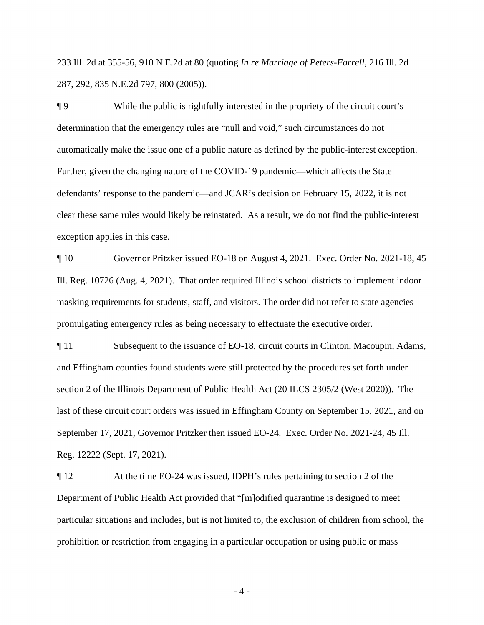233 Ill. 2d at 355-56, 910 N.E.2d at 80 (quoting *In re Marriage of Peters-Farrell*, 216 Ill. 2d 287, 292, 835 N.E.2d 797, 800 (2005)).

 $\P9$ automatically make the issue one of a public nature as defined by the public-interest exception. While the public is rightfully interested in the propriety of the circuit court's determination that the emergency rules are "null and void," such circumstances do not Further, given the changing nature of the COVID-19 pandemic—which affects the State defendants' response to the pandemic—and JCAR's decision on February 15, 2022, it is not clear these same rules would likely be reinstated. As a result, we do not find the public-interest exception applies in this case.

 $\P$  10 Governor Pritzker issued EO-18 on August 4, 2021. Exec. Order No. 2021-18, 45 Ill. Reg. 10726 (Aug. 4, 2021). That order required Illinois school districts to implement indoor masking requirements for students, staff, and visitors. The order did not refer to state agencies promulgating emergency rules as being necessary to effectuate the executive order.

¶ 11 Subsequent to the issuance of EO-18, circuit courts in Clinton, Macoupin, Adams, and Effingham counties found students were still protected by the procedures set forth under section 2 of the Illinois Department of Public Health Act (20 ILCS 2305/2 (West 2020)). The last of these circuit court orders was issued in Effingham County on September 15, 2021, and on September 17, 2021, Governor Pritzker then issued EO-24. Exec. Order No. 2021-24, 45 Ill. Reg. 12222 (Sept. 17, 2021).

 $\P12$ At the time EO-24 was issued, IDPH's rules pertaining to section 2 of the Department of Public Health Act provided that "[m]odified quarantine is designed to meet particular situations and includes, but is not limited to, the exclusion of children from school, the prohibition or restriction from engaging in a particular occupation or using public or mass

- 4 -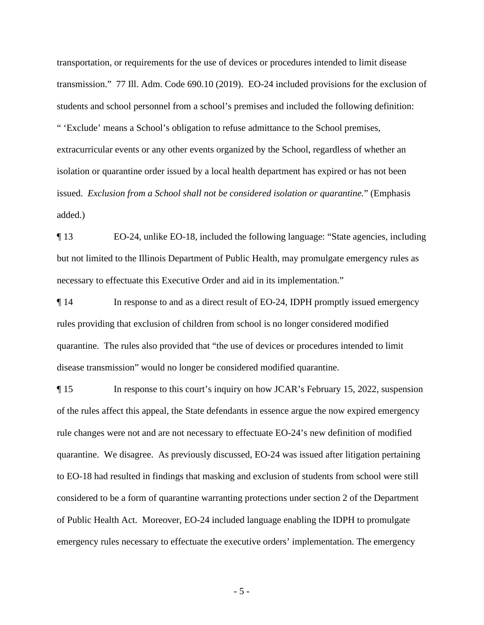transportation, or requirements for the use of devices or procedures intended to limit disease transmission." 77 Ill. Adm. Code 690.10 (2019). EO-24 included provisions for the exclusion of students and school personnel from a school's premises and included the following definition: " 'Exclude' means a School's obligation to refuse admittance to the School premises, extracurricular events or any other events organized by the School, regardless of whether an isolation or quarantine order issued by a local health department has expired or has not been issued. *Exclusion from a School shall not be considered isolation or quarantine.*" (Emphasis added.)

 $\P$ 13 EO-24, unlike EO-18, included the following language: "State agencies, including but not limited to the Illinois Department of Public Health, may promulgate emergency rules as necessary to effectuate this Executive Order and aid in its implementation."

 quarantine. The rules also provided that "the use of devices or procedures intended to limit ¶ 14 In response to and as a direct result of EO-24, IDPH promptly issued emergency rules providing that exclusion of children from school is no longer considered modified disease transmission" would no longer be considered modified quarantine.

 quarantine. We disagree. As previously discussed, EO-24 was issued after litigation pertaining ¶ 15 In response to this court's inquiry on how JCAR's February 15, 2022, suspension of the rules affect this appeal, the State defendants in essence argue the now expired emergency rule changes were not and are not necessary to effectuate EO-24's new definition of modified to EO-18 had resulted in findings that masking and exclusion of students from school were still considered to be a form of quarantine warranting protections under section 2 of the Department of Public Health Act. Moreover, EO-24 included language enabling the IDPH to promulgate emergency rules necessary to effectuate the executive orders' implementation. The emergency

- 5 -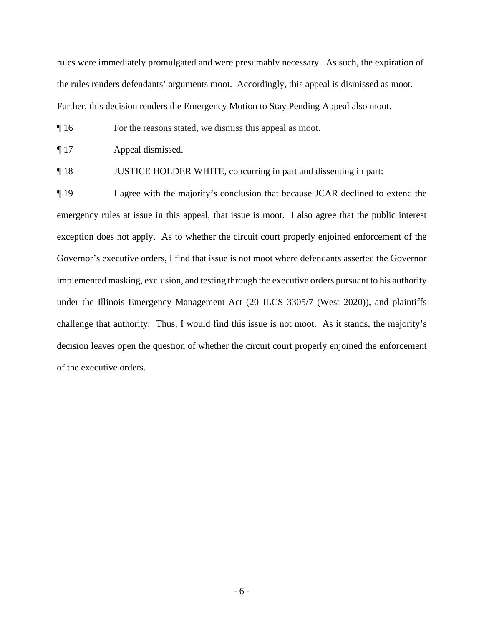rules were immediately promulgated and were presumably necessary. As such, the expiration of the rules renders defendants' arguments moot. Accordingly, this appeal is dismissed as moot. Further, this decision renders the Emergency Motion to Stay Pending Appeal also moot.

¶ 16 For the reasons stated, we dismiss this appeal as moot.

 $\P 17$ Appeal dismissed.

 $\P18$ JUSTICE HOLDER WHITE, concurring in part and dissenting in part:

 Governor's executive orders, I find that issue is not moot where defendants asserted the Governor ¶ 19 I agree with the majority's conclusion that because JCAR declined to extend the emergency rules at issue in this appeal, that issue is moot. I also agree that the public interest exception does not apply. As to whether the circuit court properly enjoined enforcement of the implemented masking, exclusion, and testing through the executive orders pursuant to his authority under the Illinois Emergency Management Act (20 ILCS 3305/7 (West 2020)), and plaintiffs challenge that authority. Thus, I would find this issue is not moot. As it stands, the majority's decision leaves open the question of whether the circuit court properly enjoined the enforcement of the executive orders.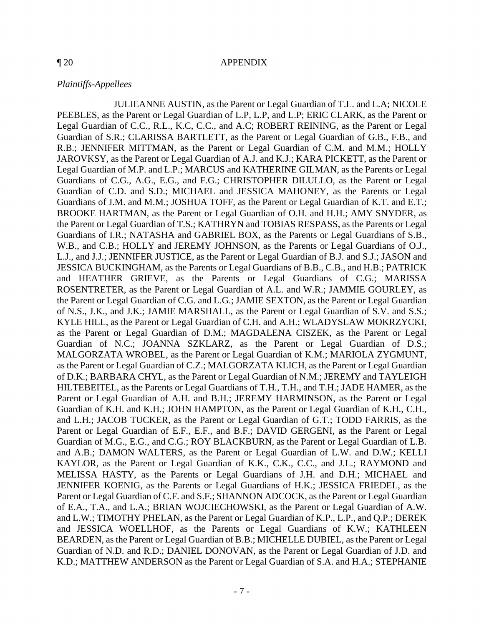#### *Plaintiffs-Appellees*

 JULIEANNE AUSTIN, as the Parent or Legal Guardian of T.L. and L.A; NICOLE and HEATHER GRIEVE, as the Parents or Legal Guardians of C.G.; MARISSA Guardian of N.C.; JOANNA SZKLARZ, as the Parent or Legal Guardian of D.S.; Parent or Legal Guardian of E.F., E.F., and B.F.; DAVID GERGENI, as the Parent or Legal MELISSA HASTY, as the Parents or Legal Guardians of J.H. and D.H.; MICHAEL and PEEBLES, as the Parent or Legal Guardian of L.P, L.P, and L.P; ERIC CLARK, as the Parent or Legal Guardian of C.C., R.L., K.C, C.C., and A.C; ROBERT REINING, as the Parent or Legal Guardian of S.R.; CLARISSA BARTLETT, as the Parent or Legal Guardian of G.B., F.B., and R.B.; JENNIFER MITTMAN, as the Parent or Legal Guardian of C.M. and M.M.; HOLLY JAROVKSY, as the Parent or Legal Guardian of A.J. and K.J.; KARA PICKETT, as the Parent or Legal Guardian of M.P. and L.P.; MARCUS and KATHERINE GILMAN, as the Parents or Legal Guardians of C.G., A.G., E.G., and F.G.; CHRISTOPHER DILULLO, as the Parent or Legal Guardian of C.D. and S.D.; MICHAEL and JESSICA MAHONEY, as the Parents or Legal Guardians of J.M. and M.M.; JOSHUA TOFF, as the Parent or Legal Guardian of K.T. and E.T.; BROOKE HARTMAN, as the Parent or Legal Guardian of O.H. and H.H.; AMY SNYDER, as the Parent or Legal Guardian of T.S.; KATHRYN and TOBIAS RESPASS, as the Parents or Legal Guardians of I.R.; NATASHA and GABRIEL BOX, as the Parents or Legal Guardians of S.B., W.B., and C.B.; HOLLY and JEREMY JOHNSON, as the Parents or Legal Guardians of O.J., L.J., and J.J.; JENNIFER JUSTICE, as the Parent or Legal Guardian of B.J. and S.J.; JASON and JESSICA BUCKINGHAM, as the Parents or Legal Guardians of B.B., C.B., and H.B.; PATRICK ROSENTRETER, as the Parent or Legal Guardian of A.L. and W.R.; JAMMIE GOURLEY, as the Parent or Legal Guardian of C.G. and L.G.; JAMIE SEXTON, as the Parent or Legal Guardian of N.S., J.K., and J.K.; JAMIE MARSHALL, as the Parent or Legal Guardian of S.V. and S.S.; KYLE HILL, as the Parent or Legal Guardian of C.H. and A.H.; WLADYSLAW MOKRZYCKI, as the Parent or Legal Guardian of D.M.; MAGDALENA CISZEK, as the Parent or Legal MALGORZATA WROBEL, as the Parent or Legal Guardian of K.M.; MARIOLA ZYGMUNT, as the Parent or Legal Guardian of C.Z.; MALGORZATA KLICH, as the Parent or Legal Guardian of D.K.; BARBARA CHYL, as the Parent or Legal Guardian of N.M.; JEREMY and TAYLEIGH HILTEBEITEL, as the Parents or Legal Guardians of T.H., T.H., and T.H.; JADE HAMER, as the Parent or Legal Guardian of A.H. and B.H.; JEREMY HARMINSON, as the Parent or Legal Guardian of K.H. and K.H.; JOHN HAMPTON, as the Parent or Legal Guardian of K.H., C.H., and L.H.; JACOB TUCKER, as the Parent or Legal Guardian of G.T.; TODD FARRIS, as the Guardian of M.G., E.G., and C.G.; ROY BLACKBURN, as the Parent or Legal Guardian of L.B. and A.B.; DAMON WALTERS, as the Parent or Legal Guardian of L.W. and D.W.; KELLI KAYLOR, as the Parent or Legal Guardian of K.K., C.K., C.C., and J.L.; RAYMOND and JENNIFER KOENIG, as the Parents or Legal Guardians of H.K.; JESSICA FRIEDEL, as the Parent or Legal Guardian of C.F. and S.F.; SHANNON ADCOCK, as the Parent or Legal Guardian of E.A., T.A., and L.A.; BRIAN WOJCIECHOWSKI, as the Parent or Legal Guardian of A.W. and L.W.; TIMOTHY PHELAN, as the Parent or Legal Guardian of K.P., L.P., and Q.P.; DEREK and JESSICA WOELLHOF, as the Parents or Legal Guardians of K.W.; KATHLEEN BEARDEN, as the Parent or Legal Guardian of B.B.; MICHELLE DUBIEL, as the Parent or Legal Guardian of N.D. and R.D.; DANIEL DONOVAN, as the Parent or Legal Guardian of J.D. and K.D.; MATTHEW ANDERSON as the Parent or Legal Guardian of S.A. and H.A.; STEPHANIE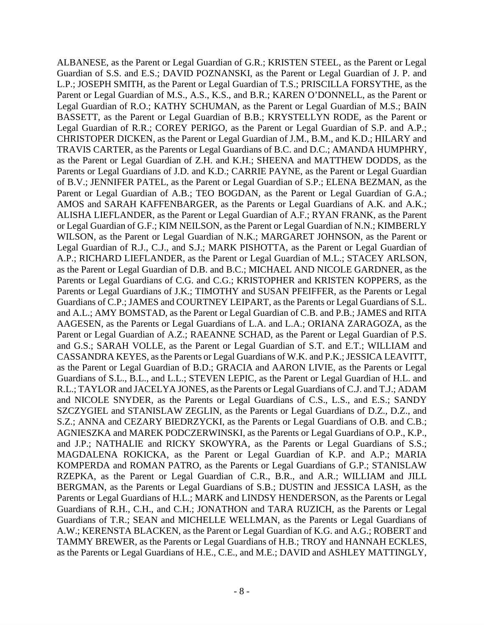CHRISTOPER DICKEN, as the Parent or Legal Guardian of J.M., B.M., and K.D.; HILARY and WILSON, as the Parent or Legal Guardian of N.K.; MARGARET JOHNSON, as the Parent or AAGESEN, as the Parents or Legal Guardians of L.A. and L.A.; ORIANA ZARAGOZA, as the Parents or Legal Guardians of H.L.; MARK and LINDSY HENDERSON, as the Parents or Legal ALBANESE, as the Parent or Legal Guardian of G.R.; KRISTEN STEEL, as the Parent or Legal Guardian of S.S. and E.S.; DAVID POZNANSKI, as the Parent or Legal Guardian of J. P. and L.P.; JOSEPH SMITH, as the Parent or Legal Guardian of T.S.; PRISCILLA FORSYTHE, as the Parent or Legal Guardian of M.S., A.S., K.S., and B.R.; KAREN O'DONNELL, as the Parent or Legal Guardian of R.O.; KATHY SCHUMAN, as the Parent or Legal Guardian of M.S.; BAIN BASSETT, as the Parent or Legal Guardian of B.B.; KRYSTELLYN RODE, as the Parent or Legal Guardian of R.R.; COREY PERIGO, as the Parent or Legal Guardian of S.P. and A.P.; TRAVIS CARTER, as the Parents or Legal Guardians of B.C. and D.C.; AMANDA HUMPHRY, as the Parent or Legal Guardian of Z.H. and K.H.; SHEENA and MATTHEW DODDS, as the Parents or Legal Guardians of J.D. and K.D.; CARRIE PAYNE, as the Parent or Legal Guardian of B.V.; JENNIFER PATEL, as the Parent or Legal Guardian of S.P.; ELENA BEZMAN, as the Parent or Legal Guardian of A.B.; TEO BOGDAN, as the Parent or Legal Guardian of G.A.; AMOS and SARAH KAFFENBARGER, as the Parents or Legal Guardians of A.K. and A.K.; ALISHA LIEFLANDER, as the Parent or Legal Guardian of A.F.; RYAN FRANK, as the Parent or Legal Guardian of G.F.; KIM NEILSON, as the Parent or Legal Guardian of N.N.; KIMBERLY Legal Guardian of R.J., C.J., and S.J.; MARK PISHOTTA, as the Parent or Legal Guardian of A.P.; RICHARD LIEFLANDER, as the Parent or Legal Guardian of M.L.; STACEY ARLSON, as the Parent or Legal Guardian of D.B. and B.C.; MICHAEL AND NICOLE GARDNER, as the Parents or Legal Guardians of C.G. and C.G.; KRISTOPHER and KRISTEN KOPPERS, as the Parents or Legal Guardians of J.K.; TIMOTHY and SUSAN PFEIFFER, as the Parents or Legal Guardians of C.P.; JAMES and COURTNEY LEIPART, as the Parents or Legal Guardians of S.L. and A.L.; AMY BOMSTAD, as the Parent or Legal Guardian of C.B. and P.B.; JAMES and RITA Parent or Legal Guardian of A.Z.; RAEANNE SCHAD, as the Parent or Legal Guardian of P.S. and G.S.; SARAH VOLLE, as the Parent or Legal Guardian of S.T. and E.T.; WILLIAM and CASSANDRA KEYES, as the Parents or Legal Guardians of W.K. and P.K.; JESSICA LEAVITT, as the Parent or Legal Guardian of B.D.; GRACIA and AARON LIVIE, as the Parents or Legal Guardians of S.L., B.L., and L.L.; STEVEN LEPIC, as the Parent or Legal Guardian of H.L. and R.L.; TAYLOR and JACELYA JONES, as the Parents or Legal Guardians of C.J. and T.J.; ADAM and NICOLE SNYDER, as the Parents or Legal Guardians of C.S., L.S., and E.S.; SANDY SZCZYGIEL and STANISLAW ZEGLIN, as the Parents or Legal Guardians of D.Z., D.Z., and S.Z.; ANNA and CEZARY BIEDRZYCKI, as the Parents or Legal Guardians of O.B. and C.B.; AGNIESZKA and MAREK PODCZERWINSKI, as the Parents or Legal Guardians of O.P., K.P., and J.P.; NATHALIE and RICKY SKOWYRA, as the Parents or Legal Guardians of S.S.; MAGDALENA ROKICKA, as the Parent or Legal Guardian of K.P. and A.P.; MARIA KOMPERDA and ROMAN PATRO, as the Parents or Legal Guardians of G.P.; STANISLAW RZEPKA, as the Parent or Legal Guardian of C.R., B.R., and A.R.; WILLIAM and JILL BERGMAN, as the Parents or Legal Guardians of S.B.; DUSTIN and JESSICA LASH, as the Guardians of R.H., C.H., and C.H.; JONATHON and TARA RUZICH, as the Parents or Legal Guardians of T.R.; SEAN and MICHELLE WELLMAN, as the Parents or Legal Guardians of A.W.; KERENSTA BLACKEN, as the Parent or Legal Guardian of K.G. and A.G.; ROBERT and TAMMY BREWER, as the Parents or Legal Guardians of H.B.; TROY and HANNAH ECKLES, as the Parents or Legal Guardians of H.E., C.E., and M.E.; DAVID and ASHLEY MATTINGLY,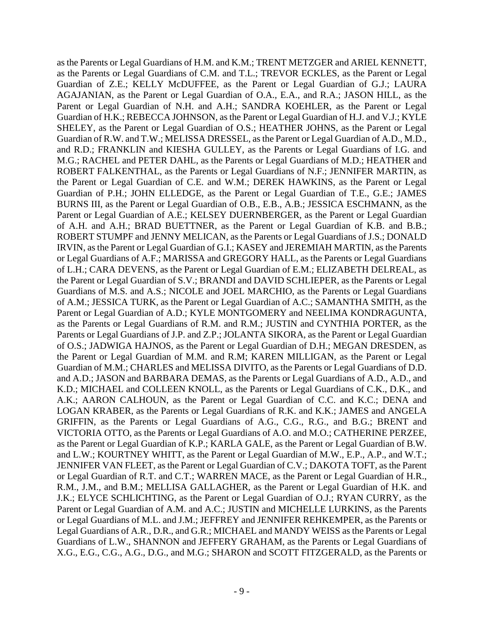Guardian of H.K.; REBECCA JOHNSON, as the Parent or Legal Guardian of H.J. and V.J.; KYLE IRVIN, as the Parent or Legal Guardian of G.I.; KASEY and JEREMIAH MARTIN, as the Parents of A.M.; JESSICA TURK, as the Parent or Legal Guardian of A.C.; SAMANTHA SMITH, as the as the Parent or Legal Guardian of K.P.; KARLA GALE, as the Parent or Legal Guardian of B.W. Legal Guardians of A.R., D.R., and G.R.; MICHAEL and MANDY WEISS as the Parents or Legal as the Parents or Legal Guardians of H.M. and K.M.; TRENT METZGER and ARIEL KENNETT, as the Parents or Legal Guardians of C.M. and T.L.; TREVOR ECKLES, as the Parent or Legal Guardian of Z.E.; KELLY McDUFFEE, as the Parent or Legal Guardian of G.J.; LAURA AGAJANIAN, as the Parent or Legal Guardian of O.A., E.A., and R.A.; JASON HILL, as the Parent or Legal Guardian of N.H. and A.H.; SANDRA KOEHLER, as the Parent or Legal SHELEY, as the Parent or Legal Guardian of O.S.; HEATHER JOHNS, as the Parent or Legal Guardian of R.W. and T.W.; MELISSA DRESSEL, as the Parent or Legal Guardian of A.D., M.D., and R.D.; FRANKLIN and KIESHA GULLEY, as the Parents or Legal Guardians of I.G. and M.G.; RACHEL and PETER DAHL, as the Parents or Legal Guardians of M.D.; HEATHER and ROBERT FALKENTHAL, as the Parents or Legal Guardians of N.F.; JENNIFER MARTIN, as the Parent or Legal Guardian of C.E. and W.M.; DEREK HAWKINS, as the Parent or Legal Guardian of P.H.; JOHN ELLEDGE, as the Parent or Legal Guardian of T.E., G.E.; JAMES BURNS III, as the Parent or Legal Guardian of O.B., E.B., A.B.; JESSICA ESCHMANN, as the Parent or Legal Guardian of A.E.; KELSEY DUERNBERGER, as the Parent or Legal Guardian of A.H. and A.H.; BRAD BUETTNER, as the Parent or Legal Guardian of K.B. and B.B.; ROBERT STUMPF and JENNY MELICAN, as the Parents or Legal Guardians of J.S.; DONALD or Legal Guardians of A.F.; MARISSA and GREGORY HALL, as the Parents or Legal Guardians of L.H.; CARA DEVENS, as the Parent or Legal Guardian of E.M.; ELIZABETH DELREAL, as the Parent or Legal Guardian of S.V.; BRANDI and DAVID SCHLIEPER, as the Parents or Legal Guardians of M.S. and A.S.; NICOLE and JOEL MARCHIO, as the Parents or Legal Guardians Parent or Legal Guardian of A.D.; KYLE MONTGOMERY and NEELIMA KONDRAGUNTA, as the Parents or Legal Guardians of R.M. and R.M.; JUSTIN and CYNTHIA PORTER, as the Parents or Legal Guardians of J.P. and Z.P.; JOLANTA SIKORA, as the Parent or Legal Guardian of O.S.; JADWIGA HAJNOS, as the Parent or Legal Guardian of D.H.; MEGAN DRESDEN, as the Parent or Legal Guardian of M.M. and R.M; KAREN MILLIGAN, as the Parent or Legal Guardian of M.M.; CHARLES and MELISSA DIVITO, as the Parents or Legal Guardians of D.D. and A.D.; JASON and BARBARA DEMAS, as the Parents or Legal Guardians of A.D., A.D., and K.D.; MICHAEL and COLLEEN KNOLL, as the Parents or Legal Guardians of C.K., D.K., and A.K.; AARON CALHOUN, as the Parent or Legal Guardian of C.C. and K.C.; DENA and LOGAN KRABER, as the Parents or Legal Guardians of R.K. and K.K.; JAMES and ANGELA GRIFFIN, as the Parents or Legal Guardians of A.G., C.G., R.G., and B.G.; BRENT and VICTORIA OTTO, as the Parents or Legal Guardians of A.O. and M.O.; CATHERINE PERZEE, and L.W.; KOURTNEY WHITT, as the Parent or Legal Guardian of M.W., E.P., A.P., and W.T.; JENNIFER VAN FLEET, as the Parent or Legal Guardian of C.V.; DAKOTA TOFT, as the Parent or Legal Guardian of R.T. and C.T.; WARREN MACE, as the Parent or Legal Guardian of H.R., R.M., J.M., and B.M.; MELLISA GALLAGHER, as the Parent or Legal Guardian of H.K. and J.K.; ELYCE SCHLICHTING, as the Parent or Legal Guardian of O.J.; RYAN CURRY, as the Parent or Legal Guardian of A.M. and A.C.; JUSTIN and MICHELLE LURKINS, as the Parents or Legal Guardians of M.L. and J.M.; JEFFREY and JENNIFER REHKEMPER, as the Parents or Guardians of L.W., SHANNON and JEFFERY GRAHAM, as the Parents or Legal Guardians of X.G., E.G., C.G., A.G., D.G., and M.G.; SHARON and SCOTT FITZGERALD, as the Parents or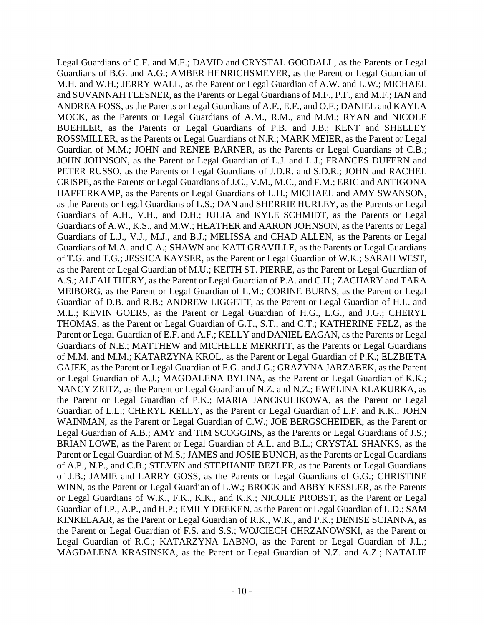Legal Guardians of C.F. and M.F.; DAVID and CRYSTAL GOODALL, as the Parents or Legal Guardians of B.G. and A.G.; AMBER HENRICHSMEYER, as the Parent or Legal Guardian of and SUVANNAH FLESNER, as the Parents or Legal Guardians of M.F., P.F., and M.F.; IAN and Guardians of A.W., K.S., and M.W.; HEATHER and AARON JOHNSON, as the Parents or Legal KINKELAAR, as the Parent or Legal Guardian of R.K., W.K., and P.K.; DENISE SCIANNA, as M.H. and W.H.; JERRY WALL, as the Parent or Legal Guardian of A.W. and L.W.; MICHAEL ANDREA FOSS, as the Parents or Legal Guardians of A.F., E.F., and O.F.; DANIEL and KAYLA MOCK, as the Parents or Legal Guardians of A.M., R.M., and M.M.; RYAN and NICOLE BUEHLER, as the Parents or Legal Guardians of P.B. and J.B.; KENT and SHELLEY ROSSMILLER, as the Parents or Legal Guardians of N.R.; MARK MEIER, as the Parent or Legal Guardian of M.M.; JOHN and RENEE BARNER, as the Parents or Legal Guardians of C.B.; JOHN JOHNSON, as the Parent or Legal Guardian of L.J. and L.J.; FRANCES DUFERN and PETER RUSSO, as the Parents or Legal Guardians of J.D.R. and S.D.R.; JOHN and RACHEL CRISPE, as the Parents or Legal Guardians of J.C., V.M., M.C., and F.M.; ERIC and ANTIGONA HAFFERKAMP, as the Parents or Legal Guardians of L.H.; MICHAEL and AMY SWANSON, as the Parents or Legal Guardians of L.S.; DAN and SHERRIE HURLEY, as the Parents or Legal Guardians of A.H., V.H., and D.H.; JULIA and KYLE SCHMIDT, as the Parents or Legal Guardians of L.J., V.J., M.J., and B.J.; MELISSA and CHAD ALLEN, as the Parents or Legal Guardians of M.A. and C.A.; SHAWN and KATI GRAVILLE, as the Parents or Legal Guardians of T.G. and T.G.; JESSICA KAYSER, as the Parent or Legal Guardian of W.K.; SARAH WEST, as the Parent or Legal Guardian of M.U.; KEITH ST. PIERRE, as the Parent or Legal Guardian of A.S.; ALEAH THERY, as the Parent or Legal Guardian of P.A. and C.H.; ZACHARY and TARA MEIBORG, as the Parent or Legal Guardian of L.M.; CORINE BURNS, as the Parent or Legal Guardian of D.B. and R.B.; ANDREW LIGGETT, as the Parent or Legal Guardian of H.L. and M.L.; KEVIN GOERS, as the Parent or Legal Guardian of H.G., L.G., and J.G.; CHERYL THOMAS, as the Parent or Legal Guardian of G.T., S.T., and C.T.; KATHERINE FELZ, as the Parent or Legal Guardian of E.F. and A.F.; KELLY and DANIEL EAGAN, as the Parents or Legal Guardians of N.E.; MATTHEW and MICHELLE MERRITT, as the Parents or Legal Guardians of M.M. and M.M.; KATARZYNA KROL, as the Parent or Legal Guardian of P.K.; ELZBIETA GAJEK, as the Parent or Legal Guardian of F.G. and J.G.; GRAZYNA JARZABEK, as the Parent or Legal Guardian of A.J.; MAGDALENA BYLINA, as the Parent or Legal Guardian of K.K.; NANCY ZEITZ, as the Parent or Legal Guardian of N.Z. and N.Z.; EWELINA KLAKURKA, as the Parent or Legal Guardian of P.K.; MARIA JANCKULIKOWA, as the Parent or Legal Guardian of L.L.; CHERYL KELLY, as the Parent or Legal Guardian of L.F. and K.K.; JOHN WAINMAN, as the Parent or Legal Guardian of C.W.; JOE BERGSCHEIDER, as the Parent or Legal Guardian of A.B.; AMY and TIM SCOGGINS, as the Parents or Legal Guardians of J.S.; BRIAN LOWE, as the Parent or Legal Guardian of A.L. and B.L.; CRYSTAL SHANKS, as the Parent or Legal Guardian of M.S.; JAMES and JOSIE BUNCH, as the Parents or Legal Guardians of A.P., N.P., and C.B.; STEVEN and STEPHANIE BEZLER, as the Parents or Legal Guardians of J.B.; JAMIE and LARRY GOSS, as the Parents or Legal Guardians of G.G.; CHRISTINE WINN, as the Parent or Legal Guardian of L.W.; BROCK and ABBY KESSLER, as the Parents or Legal Guardians of W.K., F.K., K.K., and K.K.; NICOLE PROBST, as the Parent or Legal Guardian of I.P., A.P., and H.P.; EMILY DEEKEN, as the Parent or Legal Guardian of L.D.; SAM the Parent or Legal Guardian of F.S. and S.S.; WOJCIECH CHRZANOWSKI, as the Parent or Legal Guardian of R.C.; KATARZYNA LABNO, as the Parent or Legal Guardian of J.L.; MAGDALENA KRASINSKA, as the Parent or Legal Guardian of N.Z. and A.Z.; NATALIE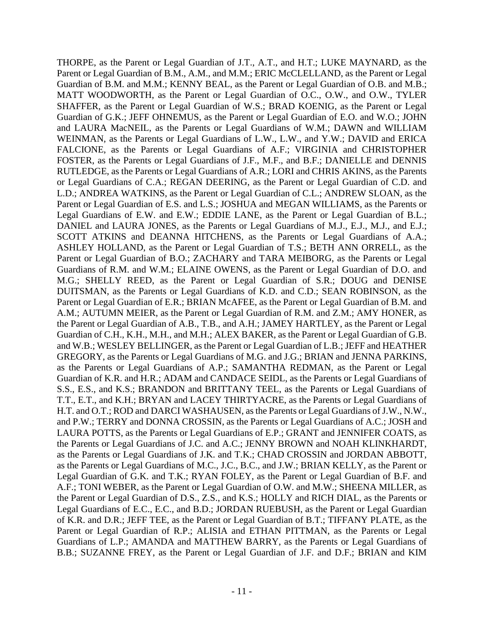SCOTT ATKINS and DEANNA HITCHENS, as the Parents or Legal Guardians of A.A.; as the Parents or Legal Guardians of A.P.; SAMANTHA REDMAN, as the Parent or Legal H.T. and O.T.; ROD and DARCI WASHAUSEN, as the Parents or Legal Guardians of J.W., N.W., Guardians of L.P.; AMANDA and MATTHEW BARRY, as the Parents or Legal Guardians of THORPE, as the Parent or Legal Guardian of J.T., A.T., and H.T.; LUKE MAYNARD, as the Parent or Legal Guardian of B.M., A.M., and M.M.; ERIC McCLELLAND, as the Parent or Legal Guardian of B.M. and M.M.; KENNY BEAL, as the Parent or Legal Guardian of O.B. and M.B.; MATT WOODWORTH, as the Parent or Legal Guardian of O.C., O.W., and O.W., TYLER SHAFFER, as the Parent or Legal Guardian of W.S.; BRAD KOENIG, as the Parent or Legal Guardian of G.K.; JEFF OHNEMUS, as the Parent or Legal Guardian of E.O. and W.O.; JOHN and LAURA MacNEIL, as the Parents or Legal Guardians of W.M.; DAWN and WILLIAM WEINMAN, as the Parents or Legal Guardians of L.W., L.W., and Y.W.; DAVID and ERICA FALCIONE, as the Parents or Legal Guardians of A.F.; VIRGINIA and CHRISTOPHER FOSTER, as the Parents or Legal Guardians of J.F., M.F., and B.F.; DANIELLE and DENNIS RUTLEDGE, as the Parents or Legal Guardians of A.R.; LORI and CHRIS AKINS, as the Parents or Legal Guardians of C.A.; REGAN DEERING, as the Parent or Legal Guardian of C.D. and L.D.; ANDREA WATKINS, as the Parent or Legal Guardian of C.L.; ANDREW SLOAN, as the Parent or Legal Guardian of E.S. and L.S.; JOSHUA and MEGAN WILLIAMS, as the Parents or Legal Guardians of E.W. and E.W.; EDDIE LANE, as the Parent or Legal Guardian of B.L.; DANIEL and LAURA JONES, as the Parents or Legal Guardians of M.J., E.J., M.J., and E.J.; ASHLEY HOLLAND, as the Parent or Legal Guardian of T.S.; BETH ANN ORRELL, as the Parent or Legal Guardian of B.O.; ZACHARY and TARA MEIBORG, as the Parents or Legal Guardians of R.M. and W.M.; ELAINE OWENS, as the Parent or Legal Guardian of D.O. and M.G.; SHELLY REED, as the Parent or Legal Guardian of S.R.; DOUG and DENISE DUITSMAN, as the Parents or Legal Guardians of K.D. and C.D.; SEAN ROBINSON, as the Parent or Legal Guardian of E.R.; BRIAN McAFEE, as the Parent or Legal Guardian of B.M. and A.M.; AUTUMN MEIER, as the Parent or Legal Guardian of R.M. and Z.M.; AMY HONER, as the Parent or Legal Guardian of A.B., T.B., and A.H.; JAMEY HARTLEY, as the Parent or Legal Guardian of C.H., K.H., M.H., and M.H.; ALEX BAKER, as the Parent or Legal Guardian of G.B. and W.B.; WESLEY BELLINGER, as the Parent or Legal Guardian of L.B.; JEFF and HEATHER GREGORY, as the Parents or Legal Guardians of M.G. and J.G.; BRIAN and JENNA PARKINS, Guardian of K.R. and H.R.; ADAM and CANDACE SEIDL, as the Parents or Legal Guardians of S.S., E.S., and K.S.; BRANDON and BRITTANY TEEL, as the Parents or Legal Guardians of T.T., E.T., and K.H.; BRYAN and LACEY THIRTYACRE, as the Parents or Legal Guardians of and P.W.; TERRY and DONNA CROSSIN, as the Parents or Legal Guardians of A.C.; JOSH and LAURA POTTS, as the Parents or Legal Guardians of E.P.; GRANT and JENNIFER COATS, as the Parents or Legal Guardians of J.C. and A.C.; JENNY BROWN and NOAH KLINKHARDT, as the Parents or Legal Guardians of J.K. and T.K.; CHAD CROSSIN and JORDAN ABBOTT, as the Parents or Legal Guardians of M.C., J.C., B.C., and J.W.; BRIAN KELLY, as the Parent or Legal Guardian of G.K. and T.K.; RYAN FOLEY, as the Parent or Legal Guardian of B.F. and A.F.; TONI WEBER, as the Parent or Legal Guardian of O.W. and M.W.; SHEENA MILLER, as the Parent or Legal Guardian of D.S., Z.S., and K.S.; HOLLY and RICH DIAL, as the Parents or Legal Guardians of E.C., E.C., and B.D.; JORDAN RUEBUSH, as the Parent or Legal Guardian of K.R. and D.R.; JEFF TEE, as the Parent or Legal Guardian of B.T.; TIFFANY PLATE, as the Parent or Legal Guardian of R.P.; ALISIA and ETHAN PITTMAN, as the Parents or Legal B.B.; SUZANNE FREY, as the Parent or Legal Guardian of J.F. and D.F.; BRIAN and KIM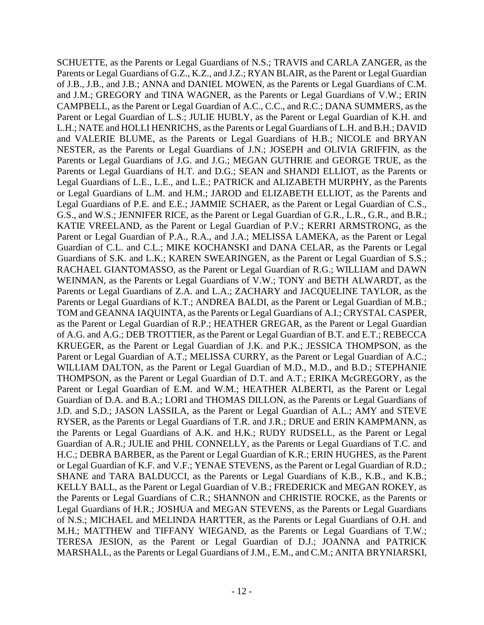Parents or Legal Guardians of G.Z., K.Z., and J.Z.; RYAN BLAIR, as the Parent or Legal Guardian as the Parent or Legal Guardian of R.P.; HEATHER GREGAR, as the Parent or Legal Guardian KELLY BALL, as the Parent or Legal Guardian of V.B.; FREDERICK and MEGAN ROKEY, as the Parents or Legal Guardians of C.R.; SHANNON and CHRISTIE ROCKE, as the Parents or of N.S.; MICHAEL and MELINDA HARTTER, as the Parents or Legal Guardians of O.H. and SCHUETTE, as the Parents or Legal Guardians of N.S.; TRAVIS and CARLA ZANGER, as the of J.B., J.B., and J.B.; ANNA and DANIEL MOWEN, as the Parents or Legal Guardians of C.M. and J.M.; GREGORY and TINA WAGNER, as the Parents or Legal Guardians of V.W.; ERIN CAMPBELL, as the Parent or Legal Guardian of A.C., C.C., and R.C.; DANA SUMMERS, as the Parent or Legal Guardian of L.S.; JULIE HUBLY, as the Parent or Legal Guardian of K.H. and L.H.; NATE and HOLLI HENRICHS, as the Parents or Legal Guardians of L.H. and B.H.; DAVID and VALERIE BLUME, as the Parents or Legal Guardians of H.B.; NICOLE and BRYAN NESTER, as the Parents or Legal Guardians of J.N.; JOSEPH and OLIVIA GRIFFIN, as the Parents or Legal Guardians of J.G. and J.G.; MEGAN GUTHRIE and GEORGE TRUE, as the Parents or Legal Guardians of H.T. and D.G.; SEAN and SHANDI ELLIOT, as the Parents or Legal Guardians of L.E., L.E., and L.E.; PATRICK and ALIZABETH MURPHY, as the Parents or Legal Guardians of L.M. and H.M.; JAROD and ELIZABETH ELLIOT, as the Parents and Legal Guardians of P.E. and E.E.; JAMMIE SCHAER, as the Parent or Legal Guardian of C.S., G.S., and W.S.; JENNIFER RICE, as the Parent or Legal Guardian of G.R., L.R., G.R., and B.R.; KATIE VREELAND, as the Parent or Legal Guardian of P.V.; KERRI ARMSTRONG, as the Parent or Legal Guardian of P.A., R.A., and J.A.; MELISSA LAMEKA, as the Parent or Legal Guardian of C.L. and C.L.; MIKE KOCHANSKI and DANA CELAR, as the Parents or Legal Guardians of S.K. and L.K.; KAREN SWEARINGEN, as the Parent or Legal Guardian of S.S.; RACHAEL GIANTOMASSO, as the Parent or Legal Guardian of R.G.; WILLIAM and DAWN WEINMAN, as the Parents or Legal Guardians of V.W.; TONY and BETH ALWARDT, as the Parents or Legal Guardians of Z.A. and L.A.; ZACHARY and JACQUELINE TAYLOR, as the Parents or Legal Guardians of K.T.; ANDREA BALDI, as the Parent or Legal Guardian of M.B.; TOM and GEANNA IAQUINTA, as the Parents or Legal Guardians of A.I.; CRYSTAL CASPER, of A.G. and A.G.; DEB TROTTIER, as the Parent or Legal Guardian of B.T. and E.T.; REBECCA KRUEGER, as the Parent or Legal Guardian of J.K. and P.K.; JESSICA THOMPSON, as the Parent or Legal Guardian of A.T.; MELISSA CURRY, as the Parent or Legal Guardian of A.C.; WILLIAM DALTON, as the Parent or Legal Guardian of M.D., M.D., and B.D.; STEPHANIE THOMPSON, as the Parent or Legal Guardian of D.T. and A.T.; ERIKA McGREGORY, as the Parent or Legal Guardian of E.M. and W.M.; HEATHER ALBERTI, as the Parent or Legal Guardian of D.A. and B.A.; LORI and THOMAS DILLON, as the Parents or Legal Guardians of J.D. and S.D.; JASON LASSILA, as the Parent or Legal Guardian of A.L.; AMY and STEVE RYSER, as the Parents or Legal Guardians of T.R. and J.R.; DRUE and ERIN KAMPMANN, as the Parents or Legal Guardians of A.K. and H.K.; RUDY RUDSELL, as the Parent or Legal Guardian of A.R.; JULIE and PHIL CONNELLY, as the Parents or Legal Guardians of T.C. and H.C.; DEBRA BARBER, as the Parent or Legal Guardian of K.R.; ERIN HUGHES, as the Parent or Legal Guardian of K.F. and V.F.; YENAE STEVENS, as the Parent or Legal Guardian of R.D.; SHANE and TARA BALDUCCI, as the Parents or Legal Guardians of K.B., K.B., and K.B.; Legal Guardians of H.R.; JOSHUA and MEGAN STEVENS, as the Parents or Legal Guardians M.H.; MATTHEW and TIFFANY WIEGAND, as the Parents or Legal Guardians of T.W.; TERESA JESION, as the Parent or Legal Guardian of D.J.; JOANNA and PATRICK MARSHALL, as the Parents or Legal Guardians of J.M., E.M., and C.M.; ANITA BRYNIARSKI,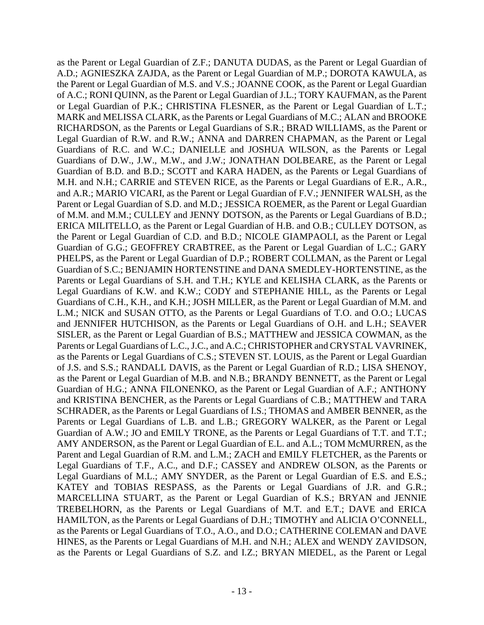the Parent or Legal Guardian of M.S. and V.S.; JOANNE COOK, as the Parent or Legal Guardian ERICA MILITELLO, as the Parent or Legal Guardian of H.B. and O.B.; CULLEY DOTSON, as Guardian of S.C.; BENJAMIN HORTENSTINE and DANA SMEDLEY-HORTENSTINE, as the as the Parents or Legal Guardians of C.S.; STEVEN ST. LOUIS, as the Parent or Legal Guardian Guardian of H.G.; ANNA FILONENKO, as the Parent or Legal Guardian of A.F.; ANTHONY and KRISTINA BENCHER, as the Parents or Legal Guardians of C.B.; MATTHEW and TARA TREBELHORN, as the Parents or Legal Guardians of M.T. and E.T.; DAVE and ERICA as the Parent or Legal Guardian of Z.F.; DANUTA DUDAS, as the Parent or Legal Guardian of A.D.; AGNIESZKA ZAJDA, as the Parent or Legal Guardian of M.P.; DOROTA KAWULA, as of A.C.; RONI QUINN, as the Parent or Legal Guardian of J.L.; TORY KAUFMAN, as the Parent or Legal Guardian of P.K.; CHRISTINA FLESNER, as the Parent or Legal Guardian of L.T.; MARK and MELISSA CLARK, as the Parents or Legal Guardians of M.C.; ALAN and BROOKE RICHARDSON, as the Parents or Legal Guardians of S.R.; BRAD WILLIAMS, as the Parent or Legal Guardian of R.W. and R.W.; ANNA and DARREN CHAPMAN, as the Parent or Legal Guardians of R.C. and W.C.; DANIELLE and JOSHUA WILSON, as the Parents or Legal Guardians of D.W., J.W., M.W., and J.W.; JONATHAN DOLBEARE, as the Parent or Legal Guardian of B.D. and B.D.; SCOTT and KARA HADEN, as the Parents or Legal Guardians of M.H. and N.H.; CARRIE and STEVEN RICE, as the Parents or Legal Guardians of E.R., A.R., and A.R.; MARIO VICARI, as the Parent or Legal Guardian of F.V.; JENNIFER WALSH, as the Parent or Legal Guardian of S.D. and M.D.; JESSICA ROEMER, as the Parent or Legal Guardian of M.M. and M.M.; CULLEY and JENNY DOTSON, as the Parents or Legal Guardians of B.D.; the Parent or Legal Guardian of C.D. and B.D.; NICOLE GIAMPAOLI, as the Parent or Legal Guardian of G.G.; GEOFFREY CRABTREE, as the Parent or Legal Guardian of L.C.; GARY PHELPS, as the Parent or Legal Guardian of D.P.; ROBERT COLLMAN, as the Parent or Legal Parents or Legal Guardians of S.H. and T.H.; KYLE and KELISHA CLARK, as the Parents or Legal Guardians of K.W. and K.W.; CODY and STEPHANIE HILL, as the Parents or Legal Guardians of C.H., K.H., and K.H.; JOSH MILLER, as the Parent or Legal Guardian of M.M. and L.M.; NICK and SUSAN OTTO, as the Parents or Legal Guardians of T.O. and O.O.; LUCAS and JENNIFER HUTCHISON, as the Parents or Legal Guardians of O.H. and L.H.; SEAVER SISLER, as the Parent or Legal Guardian of B.S.; MATTHEW and JESSICA COWMAN, as the Parents or Legal Guardians of L.C., J.C., and A.C.; CHRISTOPHER and CRYSTAL VAVRINEK, of J.S. and S.S.; RANDALL DAVIS, as the Parent or Legal Guardian of R.D.; LISA SHENOY, as the Parent or Legal Guardian of M.B. and N.B.; BRANDY BENNETT, as the Parent or Legal SCHRADER, as the Parents or Legal Guardians of I.S.; THOMAS and AMBER BENNER, as the Parents or Legal Guardians of L.B. and L.B.; GREGORY WALKER, as the Parent or Legal Guardian of A.W.; JO and EMILY TRONE, as the Parents or Legal Guardians of T.T. and T.T.; AMY ANDERSON, as the Parent or Legal Guardian of E.L. and A.L.; TOM McMURREN, as the Parent and Legal Guardian of R.M. and L.M.; ZACH and EMILY FLETCHER, as the Parents or Legal Guardians of T.F., A.C., and D.F.; CASSEY and ANDREW OLSON, as the Parents or Legal Guardians of M.L.; AMY SNYDER, as the Parent or Legal Guardian of E.S. and E.S.; KATEY and TOBIAS RESPASS, as the Parents or Legal Guardians of J.R. and G.R.; MARCELLINA STUART, as the Parent or Legal Guardian of K.S.; BRYAN and JENNIE HAMILTON, as the Parents or Legal Guardians of D.H.; TIMOTHY and ALICIA O'CONNELL, as the Parents or Legal Guardians of T.O., A.O., and D.O.; CATHERINE COLEMAN and DAVE HINES, as the Parents or Legal Guardians of M.H. and N.H.; ALEX and WENDY ZAVIDSON, as the Parents or Legal Guardians of S.Z. and I.Z.; BRYAN MIEDEL, as the Parent or Legal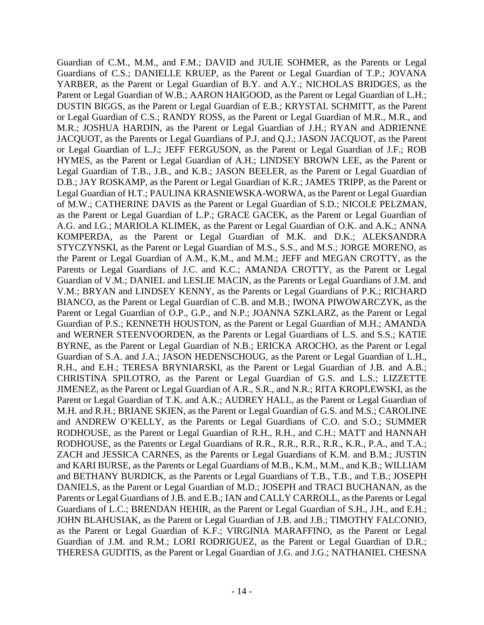D.B.; JAY ROSKAMP, as the Parent or Legal Guardian of K.R.; JAMES TRIPP, as the Parent or BIANCO, as the Parent or Legal Guardian of C.B. and M.B.; IWONA PIWOWARCZYK, as the Guardian of P.S.; KENNETH HOUSTON, as the Parent or Legal Guardian of M.H.; AMANDA BYRNE, as the Parent or Legal Guardian of N.B.; ERICKA AROCHO, as the Parent or Legal and BETHANY BURDICK, as the Parents or Legal Guardians of T.B., T.B., and T.B.; JOSEPH Parents or Legal Guardians of J.B. and E.B.; IAN and CALLY CARROLL, as the Parents or Legal Guardian of C.M., M.M., and F.M.; DAVID and JULIE SOHMER, as the Parents or Legal Guardians of C.S.; DANIELLE KRUEP, as the Parent or Legal Guardian of T.P.; JOVANA YARBER, as the Parent or Legal Guardian of B.Y. and A.Y.; NICHOLAS BRIDGES, as the Parent or Legal Guardian of W.B.; AARON HAIGOOD, as the Parent or Legal Guardian of L.H.; DUSTIN BIGGS, as the Parent or Legal Guardian of E.B.; KRYSTAL SCHMITT, as the Parent or Legal Guardian of C.S.; RANDY ROSS, as the Parent or Legal Guardian of M.R., M.R., and M.R.; JOSHUA HARDIN, as the Parent or Legal Guardian of J.H.; RYAN and ADRIENNE JACQUOT, as the Parents or Legal Guardians of P.J. and Q.J.; JASON JACQUOT, as the Parent or Legal Guardian of L.J.; JEFF FERGUSON, as the Parent or Legal Guardian of J.F.; ROB HYMES, as the Parent or Legal Guardian of A.H.; LINDSEY BROWN LEE, as the Parent or Legal Guardian of T.B., J.B., and K.B.; JASON BEELER, as the Parent or Legal Guardian of Legal Guardian of H.T.; PAULINA KRASNIEWSKA-WORWA, as the Parent or Legal Guardian of M.W.; CATHERINE DAVIS as the Parent or Legal Guardian of S.D.; NICOLE PELZMAN, as the Parent or Legal Guardian of L.P.; GRACE GACEK, as the Parent or Legal Guardian of A.G. and I.G.; MARIOLA KLIMEK, as the Parent or Legal Guardian of O.K. and A.K.; ANNA KOMPERDA, as the Parent or Legal Guardian of M.K. and D.K.; ALEKSANDRA STYCZYNSKI, as the Parent or Legal Guardian of M.S., S.S., and M.S.; JORGE MORENO, as the Parent or Legal Guardian of A.M., K.M., and M.M.; JEFF and MEGAN CROTTY, as the Parents or Legal Guardians of J.C. and K.C.; AMANDA CROTTY, as the Parent or Legal Guardian of V.M.; DANIEL and LESLIE MACIN, as the Parents or Legal Guardians of J.M. and V.M.; BRYAN and LINDSEY KENNY, as the Parents or Legal Guardians of P.K.; RICHARD Parent or Legal Guardian of O.P., G.P., and N.P.; JOANNA SZKLARZ, as the Parent or Legal and WERNER STEENVOORDEN, as the Parents or Legal Guardians of L.S. and S.S.; KATIE Guardian of S.A. and J.A.; JASON HEDENSCHOUG, as the Parent or Legal Guardian of L.H., R.H., and E.H.; TERESA BRYNIARSKI, as the Parent or Legal Guardian of J.B. and A.B.; CHRISTINA SPILOTRO, as the Parent or Legal Guardian of G.S. and L.S.; LIZZETTE JIMENEZ, as the Parent or Legal Guardian of A.R., S.R., and N.R.; RITA KROPLEWSKI, as the Parent or Legal Guardian of T.K. and A.K.; AUDREY HALL, as the Parent or Legal Guardian of M.H. and R.H.; BRIANE SKIEN, as the Parent or Legal Guardian of G.S. and M.S.; CAROLINE and ANDREW O'KELLY, as the Parents or Legal Guardians of C.O. and S.O.; SUMMER RODHOUSE, as the Parent or Legal Guardian of R.H., R.H., and C.H.; MATT and HANNAH RODHOUSE, as the Parents or Legal Guardians of R.R., R.R., R.R., R.R., K.R., P.A., and T.A.; ZACH and JESSICA CARNES, as the Parents or Legal Guardians of K.M. and B.M.; JUSTIN and KARI BURSE, as the Parents or Legal Guardians of M.B., K.M., M.M., and K.B.; WILLIAM DANIELS, as the Parent or Legal Guardian of M.D.; JOSEPH and TRACI BUCHANAN, as the Guardians of L.C.; BRENDAN HEHIR, as the Parent or Legal Guardian of S.H., J.H., and E.H.; JOHN BLAHUSIAK, as the Parent or Legal Guardian of J.B. and J.B.; TIMOTHY FALCONIO, as the Parent or Legal Guardian of K.F.; VIRGINIA MARAFFINO, as the Parent or Legal Guardian of J.M. and R.M.; LORI RODRIGUEZ, as the Parent or Legal Guardian of D.R.; THERESA GUDITIS, as the Parent or Legal Guardian of J.G. and J.G.; NATHANIEL CHESNA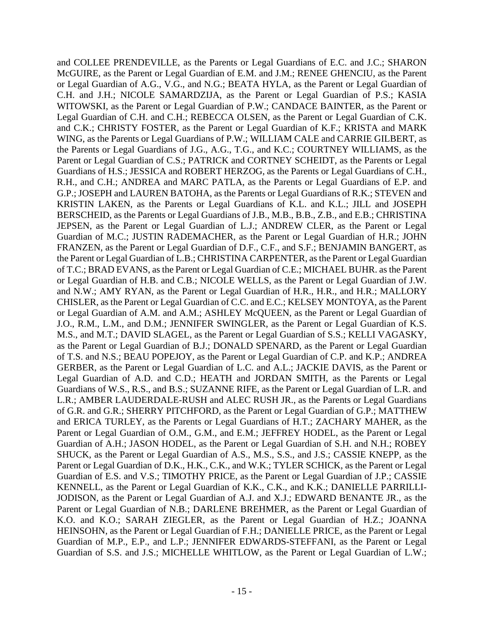CHISLER, as the Parent or Legal Guardian of C.C. and E.C.; KELSEY MONTOYA, as the Parent and COLLEE PRENDEVILLE, as the Parents or Legal Guardians of E.C. and J.C.; SHARON McGUIRE, as the Parent or Legal Guardian of E.M. and J.M.; RENEE GHENCIU, as the Parent or Legal Guardian of A.G., V.G., and N.G.; BEATA HYLA, as the Parent or Legal Guardian of C.H. and J.H.; NICOLE SAMARDZIJA, as the Parent or Legal Guardian of P.S.; KASIA WITOWSKI, as the Parent or Legal Guardian of P.W.; CANDACE BAINTER, as the Parent or Legal Guardian of C.H. and C.H.; REBECCA OLSEN, as the Parent or Legal Guardian of C.K. and C.K.; CHRISTY FOSTER, as the Parent or Legal Guardian of K.F.; KRISTA and MARK WING, as the Parents or Legal Guardians of P.W.; WILLIAM CALE and CARRIE GILBERT, as the Parents or Legal Guardians of J.G., A.G., T.G., and K.C.; COURTNEY WILLIAMS, as the Parent or Legal Guardian of C.S.; PATRICK and CORTNEY SCHEIDT, as the Parents or Legal Guardians of H.S.; JESSICA and ROBERT HERZOG, as the Parents or Legal Guardians of C.H., R.H., and C.H.; ANDREA and MARC PATLA, as the Parents or Legal Guardians of E.P. and G.P.; JOSEPH and LAUREN BATOHA, as the Parents or Legal Guardians of R.K.; STEVEN and KRISTIN LAKEN, as the Parents or Legal Guardians of K.L. and K.L.; JILL and JOSEPH BERSCHEID, as the Parents or Legal Guardians of J.B., M.B., B.B., Z.B., and E.B.; CHRISTINA JEPSEN, as the Parent or Legal Guardian of L.J.; ANDREW CLER, as the Parent or Legal Guardian of M.C.; JUSTIN RADEMACHER, as the Parent or Legal Guardian of H.R.; JOHN FRANZEN, as the Parent or Legal Guardian of D.F., C.F., and S.F.; BENJAMIN BANGERT, as the Parent or Legal Guardian of L.B.; CHRISTINA CARPENTER, as the Parent or Legal Guardian of T.C.; BRAD EVANS, as the Parent or Legal Guardian of C.E.; MICHAEL BUHR. as the Parent or Legal Guardian of H.B. and C.B.; NICOLE WELLS, as the Parent or Legal Guardian of J.W. and N.W.; AMY RYAN, as the Parent or Legal Guardian of H.R., H.R., and H.R.; MALLORY or Legal Guardian of A.M. and A.M.; ASHLEY McQUEEN, as the Parent or Legal Guardian of J.O., R.M., L.M., and D.M.; JENNIFER SWINGLER, as the Parent or Legal Guardian of K.S. M.S., and M.T.; DAVID SLAGEL, as the Parent or Legal Guardian of S.S.; KELLI VAGASKY, as the Parent or Legal Guardian of B.J.; DONALD SPENARD, as the Parent or Legal Guardian of T.S. and N.S.; BEAU POPEJOY, as the Parent or Legal Guardian of C.P. and K.P.; ANDREA GERBER, as the Parent or Legal Guardian of L.C. and A.L.; JACKIE DAVIS, as the Parent or Legal Guardian of A.D. and C.D.; HEATH and JORDAN SMITH, as the Parents or Legal Guardians of W.S., R.S., and B.S.; SUZANNE RIFE, as the Parent or Legal Guardian of L.R. and L.R.; AMBER LAUDERDALE-RUSH and ALEC RUSH JR., as the Parents or Legal Guardians of G.R. and G.R.; SHERRY PITCHFORD, as the Parent or Legal Guardian of G.P.; MATTHEW and ERICA TURLEY, as the Parents or Legal Guardians of H.T.; ZACHARY MAHER, as the Parent or Legal Guardian of O.M., G.M., and E.M.; JEFFREY HODEL, as the Parent or Legal Guardian of A.H.; JASON HODEL, as the Parent or Legal Guardian of S.H. and N.H.; ROBEY SHUCK, as the Parent or Legal Guardian of A.S., M.S., S.S., and J.S.; CASSIE KNEPP, as the Parent or Legal Guardian of D.K., H.K., C.K., and W.K.; TYLER SCHICK, as the Parent or Legal Guardian of E.S. and V.S.; TIMOTHY PRICE, as the Parent or Legal Guardian of J.P.; CASSIE KENNELL, as the Parent or Legal Guardian of K.K., C.K., and K.K.; DANIELLE PARRILLI-JODISON, as the Parent or Legal Guardian of A.J. and X.J.; EDWARD BENANTE JR., as the Parent or Legal Guardian of N.B.; DARLENE BREHMER, as the Parent or Legal Guardian of K.O. and K.O.; SARAH ZIEGLER, as the Parent or Legal Guardian of H.Z.; JOANNA HEINSOHN, as the Parent or Legal Guardian of F.H.; DANIELLE PRICE, as the Parent or Legal Guardian of M.P., E.P., and L.P.; JENNIFER EDWARDS-STEFFANI, as the Parent or Legal Guardian of S.S. and J.S.; MICHELLE WHITLOW, as the Parent or Legal Guardian of L.W.;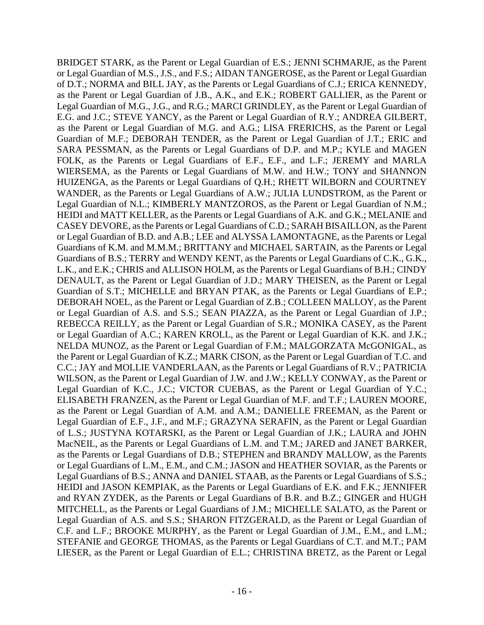Guardian of S.T.; MICHELLE and BRYAN PTAK, as the Parents or Legal Guardians of E.P.; C.C.; JAY and MOLLIE VANDERLAAN, as the Parents or Legal Guardians of R.V.; PATRICIA STEFANIE and GEORGE THOMAS, as the Parents or Legal Guardians of C.T. and M.T.; PAM BRIDGET STARK, as the Parent or Legal Guardian of E.S.; JENNI SCHMARJE, as the Parent or Legal Guardian of M.S., J.S., and F.S.; AIDAN TANGEROSE, as the Parent or Legal Guardian of D.T.; NORMA and BILL JAY, as the Parents or Legal Guardians of C.J.; ERICA KENNEDY, as the Parent or Legal Guardian of J.B., A.K., and E.K.; ROBERT GALLIER, as the Parent or Legal Guardian of M.G., J.G., and R.G.; MARCI GRINDLEY, as the Parent or Legal Guardian of E.G. and J.C.; STEVE YANCY, as the Parent or Legal Guardian of R.Y.; ANDREA GILBERT, as the Parent or Legal Guardian of M.G. and A.G.; LISA FRERICHS, as the Parent or Legal Guardian of M.F.; DEBORAH TENDER, as the Parent or Legal Guardian of J.T.; ERIC and SARA PESSMAN, as the Parents or Legal Guardians of D.P. and M.P.; KYLE and MAGEN FOLK, as the Parents or Legal Guardians of E.F., E.F., and L.F.; JEREMY and MARLA WIERSEMA, as the Parents or Legal Guardians of M.W. and H.W.; TONY and SHANNON HUIZENGA, as the Parents or Legal Guardians of Q.H.; RHETT WILBORN and COURTNEY WANDER, as the Parents or Legal Guardians of A.W.; JULIA LUNDSTROM, as the Parent or Legal Guardian of N.L.; KIMBERLY MANTZOROS, as the Parent or Legal Guardian of N.M.; HEIDI and MATT KELLER, as the Parents or Legal Guardians of A.K. and G.K.; MELANIE and CASEY DEVORE, as the Parents or Legal Guardians of C.D.; SARAH BISAILLON, as the Parent or Legal Guardian of B.D. and A.B.; LEE and ALYSSA LAMONTAGNE, as the Parents or Legal Guardians of K.M. and M.M.M.; BRITTANY and MICHAEL SARTAIN, as the Parents or Legal Guardians of B.S.; TERRY and WENDY KENT, as the Parents or Legal Guardians of C.K., G.K., L.K., and E.K.; CHRIS and ALLISON HOLM, as the Parents or Legal Guardians of B.H.; CINDY DENAULT, as the Parent or Legal Guardian of J.D.; MARY THEISEN, as the Parent or Legal DEBORAH NOEL, as the Parent or Legal Guardian of Z.B.; COLLEEN MALLOY, as the Parent or Legal Guardian of A.S. and S.S.; SEAN PIAZZA, as the Parent or Legal Guardian of J.P.; REBECCA REILLY, as the Parent or Legal Guardian of S.R.; MONIKA CASEY, as the Parent or Legal Guardian of A.C.; KAREN KROLL, as the Parent or Legal Guardian of K.K. and J.K.; NELDA MUNOZ, as the Parent or Legal Guardian of F.M.; MALGORZATA McGONIGAL, as the Parent or Legal Guardian of K.Z.; MARK CISON, as the Parent or Legal Guardian of T.C. and WILSON, as the Parent or Legal Guardian of J.W. and J.W.; KELLY CONWAY, as the Parent or Legal Guardian of K.C., J.C.; VICTOR CUEBAS, as the Parent or Legal Guardian of Y.C.; ELISABETH FRANZEN, as the Parent or Legal Guardian of M.F. and T.F.; LAUREN MOORE, as the Parent or Legal Guardian of A.M. and A.M.; DANIELLE FREEMAN, as the Parent or Legal Guardian of E.F., J.F., and M.F.; GRAZYNA SERAFIN, as the Parent or Legal Guardian of L.S.; JUSTYNA KOTARSKI, as the Parent or Legal Guardian of J.K.; LAURA and JOHN MacNEIL, as the Parents or Legal Guardians of L.M. and T.M.; JARED and JANET BARKER, as the Parents or Legal Guardians of D.B.; STEPHEN and BRANDY MALLOW, as the Parents or Legal Guardians of L.M., E.M., and C.M.; JASON and HEATHER SOVIAR, as the Parents or Legal Guardians of B.S.; ANNA and DANIEL STAAB, as the Parents or Legal Guardians of S.S.; HEIDI and JASON KEMPIAK, as the Parents or Legal Guardians of E.K. and F.K.; JENNIFER and RYAN ZYDEK, as the Parents or Legal Guardians of B.R. and B.Z.; GINGER and HUGH MITCHELL, as the Parents or Legal Guardians of J.M.; MICHELLE SALATO, as the Parent or Legal Guardian of A.S. and S.S.; SHARON FITZGERALD, as the Parent or Legal Guardian of C.F. and L.F.; BROOKE MURPHY, as the Parent or Legal Guardian of J.M., E.M., and L.M.; LIESER, as the Parent or Legal Guardian of E.L.; CHRISTINA BRETZ, as the Parent or Legal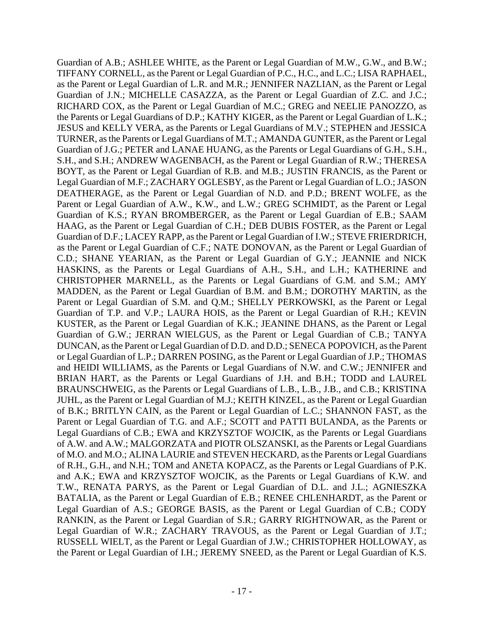C.D.; SHANE YEARIAN, as the Parent or Legal Guardian of G.Y.; JEANNIE and NICK KUSTER, as the Parent or Legal Guardian of K.K.; JEANINE DHANS, as the Parent or Legal Guardian of A.B.; ASHLEE WHITE, as the Parent or Legal Guardian of M.W., G.W., and B.W.; TIFFANY CORNELL, as the Parent or Legal Guardian of P.C., H.C., and L.C.; LISA RAPHAEL, as the Parent or Legal Guardian of L.R. and M.R.; JENNIFER NAZLIAN, as the Parent or Legal Guardian of J.N.; MICHELLE CASAZZA, as the Parent or Legal Guardian of Z.C. and J.C.; RICHARD COX, as the Parent or Legal Guardian of M.C.; GREG and NEELIE PANOZZO, as the Parents or Legal Guardians of D.P.; KATHY KIGER, as the Parent or Legal Guardian of L.K.; JESUS and KELLY VERA, as the Parents or Legal Guardians of M.V.; STEPHEN and JESSICA TURNER, as the Parents or Legal Guardians of M.T.; AMANDA GUNTER, as the Parent or Legal Guardian of J.G.; PETER and LANAE HUANG, as the Parents or Legal Guardians of G.H., S.H., S.H., and S.H.; ANDREW WAGENBACH, as the Parent or Legal Guardian of R.W.; THERESA BOYT, as the Parent or Legal Guardian of R.B. and M.B.; JUSTIN FRANCIS, as the Parent or Legal Guardian of M.F.; ZACHARY OGLESBY, as the Parent or Legal Guardian of L.O.; JASON DEATHERAGE, as the Parent or Legal Guardian of N.D. and P.D.; BRENT WOLFE, as the Parent or Legal Guardian of A.W., K.W., and L.W.; GREG SCHMIDT, as the Parent or Legal Guardian of K.S.; RYAN BROMBERGER, as the Parent or Legal Guardian of E.B.; SAAM HAAG, as the Parent or Legal Guardian of C.H.; DEB DUBIS FOSTER, as the Parent or Legal Guardian of D.F.; LACEY RAPP, as the Parent or Legal Guardian of I.W.; STEVE FRIERDRICH, as the Parent or Legal Guardian of C.F.; NATE DONOVAN, as the Parent or Legal Guardian of HASKINS, as the Parents or Legal Guardians of A.H., S.H., and L.H.; KATHERINE and CHRISTOPHER MARNELL, as the Parents or Legal Guardians of G.M. and S.M.; AMY MADDEN, as the Parent or Legal Guardian of B.M. and B.M.; DOROTHY MARTIN, as the Parent or Legal Guardian of S.M. and Q.M.; SHELLY PERKOWSKI, as the Parent or Legal Guardian of T.P. and V.P.; LAURA HOIS, as the Parent or Legal Guardian of R.H.; KEVIN Guardian of G.W.; JERRAN WIELGUS, as the Parent or Legal Guardian of C.B.; TANYA DUNCAN, as the Parent or Legal Guardian of D.D. and D.D.; SENECA POPOVICH, as the Parent or Legal Guardian of L.P.; DARREN POSING, as the Parent or Legal Guardian of J.P.; THOMAS and HEIDI WILLIAMS, as the Parents or Legal Guardians of N.W. and C.W.; JENNIFER and BRIAN HART, as the Parents or Legal Guardians of J.H. and B.H.; TODD and LAUREL BRAUNSCHWEIG, as the Parents or Legal Guardians of L.B., L.B., J.B., and C.B.; KRISTINA JUHL, as the Parent or Legal Guardian of M.J.; KEITH KINZEL, as the Parent or Legal Guardian of B.K.; BRITLYN CAIN, as the Parent or Legal Guardian of L.C.; SHANNON FAST, as the Parent or Legal Guardian of T.G. and A.F.; SCOTT and PATTI BULANDA, as the Parents or Legal Guardians of C.B.; EWA and KRZYSZTOF WOJCIK, as the Parents or Legal Guardians of A.W. and A.W.; MALGORZATA and PIOTR OLSZANSKI, as the Parents or Legal Guardians of M.O. and M.O.; ALINA LAURIE and STEVEN HECKARD, as the Parents or Legal Guardians of R.H., G.H., and N.H.; TOM and ANETA KOPACZ, as the Parents or Legal Guardians of P.K. and A.K.; EWA and KRZYSZTOF WOJCIK, as the Parents or Legal Guardians of K.W. and T.W., RENATA PARYS, as the Parent or Legal Guardian of D.L. and J.L.; AGNIESZKA BATALIA, as the Parent or Legal Guardian of E.B.; RENEE CHLENHARDT, as the Parent or Legal Guardian of A.S.; GEORGE BASIS, as the Parent or Legal Guardian of C.B.; CODY RANKIN, as the Parent or Legal Guardian of S.R.; GARRY RIGHTNOWAR, as the Parent or Legal Guardian of W.R.; ZACHARY TRAVOUS, as the Parent or Legal Guardian of J.T.; RUSSELL WIELT, as the Parent or Legal Guardian of J.W.; CHRISTOPHER HOLLOWAY, as the Parent or Legal Guardian of I.H.; JEREMY SNEED, as the Parent or Legal Guardian of K.S.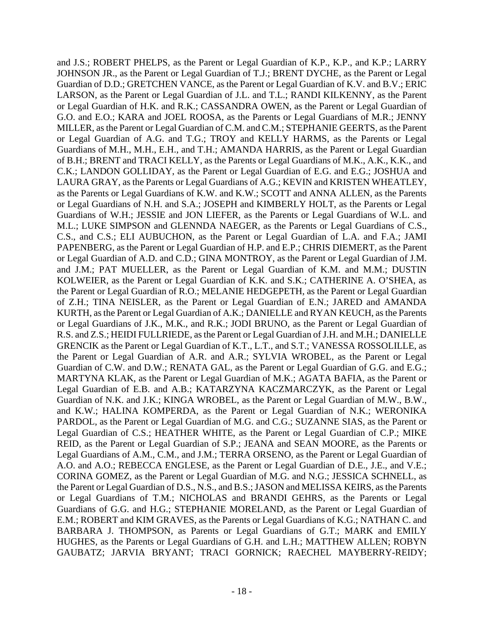as the Parents or Legal Guardians of K.W. and K.W.; SCOTT and ANNA ALLEN, as the Parents the Parent or Legal Guardian of A.R. and A.R.; SYLVIA WROBEL, as the Parent or Legal A.O. and A.O.; REBECCA ENGLESE, as the Parent or Legal Guardian of D.E., J.E., and V.E.; and J.S.; ROBERT PHELPS, as the Parent or Legal Guardian of K.P., K.P., and K.P.; LARRY JOHNSON JR., as the Parent or Legal Guardian of T.J.; BRENT DYCHE, as the Parent or Legal Guardian of D.D.; GRETCHEN VANCE, as the Parent or Legal Guardian of K.V. and B.V.; ERIC LARSON, as the Parent or Legal Guardian of J.L. and T.L.; RANDI KILKENNY, as the Parent or Legal Guardian of H.K. and R.K.; CASSANDRA OWEN, as the Parent or Legal Guardian of G.O. and E.O.; KARA and JOEL ROOSA, as the Parents or Legal Guardians of M.R.; JENNY MILLER, as the Parent or Legal Guardian of C.M. and C.M.; STEPHANIE GEERTS, as the Parent or Legal Guardian of A.G. and T.G.; TROY and KELLY HARMS, as the Parents or Legal Guardians of M.H., M.H., E.H., and T.H.; AMANDA HARRIS, as the Parent or Legal Guardian of B.H.; BRENT and TRACI KELLY, as the Parents or Legal Guardians of M.K., A.K., K.K., and C.K.; LANDON GOLLIDAY, as the Parent or Legal Guardian of E.G. and E.G.; JOSHUA and LAURA GRAY, as the Parents or Legal Guardians of A.G.; KEVIN and KRISTEN WHEATLEY, or Legal Guardians of N.H. and S.A.; JOSEPH and KIMBERLY HOLT, as the Parents or Legal Guardians of W.H.; JESSIE and JON LIEFER, as the Parents or Legal Guardians of W.L. and M.L.; LUKE SIMPSON and GLENNDA NAEGER, as the Parents or Legal Guardians of C.S., C.S., and C.S.; ELI AUBUCHON, as the Parent or Legal Guardian of L.A. and F.A.; JAMI PAPENBERG, as the Parent or Legal Guardian of H.P. and E.P.; CHRIS DIEMERT, as the Parent or Legal Guardian of A.D. and C.D.; GINA MONTROY, as the Parent or Legal Guardian of J.M. and J.M.; PAT MUELLER, as the Parent or Legal Guardian of K.M. and M.M.; DUSTIN KOLWEIER, as the Parent or Legal Guardian of K.K. and S.K.; CATHERINE A. O'SHEA, as the Parent or Legal Guardian of R.O.; MELANIE HEDGEPETH, as the Parent or Legal Guardian of Z.H.; TINA NEISLER, as the Parent or Legal Guardian of E.N.; JARED and AMANDA KURTH, as the Parent or Legal Guardian of A.K.; DANIELLE and RYAN KEUCH, as the Parents or Legal Guardians of J.K., M.K., and R.K.; JODI BRUNO, as the Parent or Legal Guardian of R.S. and Z.S.; HEIDI FULLRIEDE, as the Parent or Legal Guardian of J.H. and M.H.; DANIELLE GRENCIK as the Parent or Legal Guardian of K.T., L.T., and S.T.; VANESSA ROSSOLILLE, as Guardian of C.W. and D.W.; RENATA GAL, as the Parent or Legal Guardian of G.G. and E.G.; MARTYNA KLAK, as the Parent or Legal Guardian of M.K.; AGATA BAFIA, as the Parent or Legal Guardian of E.B. and A.B.; KATARZYNA KACZMARCZYK, as the Parent or Legal Guardian of N.K. and J.K.; KINGA WROBEL, as the Parent or Legal Guardian of M.W., B.W., and K.W.; HALINA KOMPERDA, as the Parent or Legal Guardian of N.K.; WERONIKA PARDOL, as the Parent or Legal Guardian of M.G. and C.G.; SUZANNE SIAS, as the Parent or Legal Guardian of C.S.; HEATHER WHITE, as the Parent or Legal Guardian of C.P.; MIKE REID, as the Parent or Legal Guardian of S.P.; JEANA and SEAN MOORE, as the Parents or Legal Guardians of A.M., C.M., and J.M.; TERRA ORSENO, as the Parent or Legal Guardian of CORINA GOMEZ, as the Parent or Legal Guardian of M.G. and N.G.; JESSICA SCHNELL, as the Parent or Legal Guardian of D.S., N.S., and B.S.; JASON and MELISSA KEIRS, as the Parents or Legal Guardians of T.M.; NICHOLAS and BRANDI GEHRS, as the Parents or Legal Guardians of G.G. and H.G.; STEPHANIE MORELAND, as the Parent or Legal Guardian of E.M.; ROBERT and KIM GRAVES, as the Parents or Legal Guardians of K.G.; NATHAN C. and BARBARA J. THOMPSON, as Parents or Legal Guardians of G.T.; MARK and EMILY HUGHES, as the Parents or Legal Guardians of G.H. and L.H.; MATTHEW ALLEN; ROBYN GAUBATZ; JARVIA BRYANT; TRACI GORNICK; RAECHEL MAYBERRY-REIDY;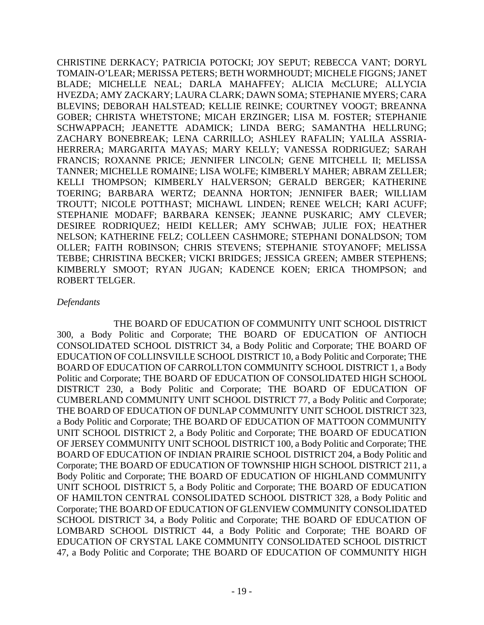CHRISTINE DERKACY; PATRICIA POTOCKI; JOY SEPUT; REBECCA VANT; DORYL TOMAIN-O'LEAR; MERISSA PETERS; BETH WORMHOUDT; MICHELE FIGGNS; JANET BLADE; MICHELLE NEAL; DARLA MAHAFFEY; ALICIA McCLURE; ALLYCIA HVEZDA; AMY ZACKARY; LAURA CLARK; DAWN SOMA; STEPHANIE MYERS; CARA BLEVINS; DEBORAH HALSTEAD; KELLIE REINKE; COURTNEY VOOGT; BREANNA GOBER; CHRISTA WHETSTONE; MICAH ERZINGER; LISA M. FOSTER; STEPHANIE SCHWAPPACH; JEANETTE ADAMICK; LINDA BERG; SAMANTHA HELLRUNG; ZACHARY BONEBREAK; LENA CARRILLO; ASHLEY RAFALIN; YALILA ASSRIA-HERRERA; MARGARITA MAYAS; MARY KELLY; VANESSA RODRIGUEZ; SARAH FRANCIS; ROXANNE PRICE; JENNIFER LINCOLN; GENE MITCHELL II; MELISSA TANNER; MICHELLE ROMAINE; LISA WOLFE; KIMBERLY MAHER; ABRAM ZELLER; KELLI THOMPSON; KIMBERLY HALVERSON; GERALD BERGER; KATHERINE TOERING; BARBARA WERTZ; DEANNA HORTON; JENNIFER BAER; WILLIAM TROUTT; NICOLE POTTHAST; MICHAWL LINDEN; RENEE WELCH; KARI ACUFF; STEPHANIE MODAFF; BARBARA KENSEK; JEANNE PUSKARIC; AMY CLEVER; DESIREE RODRIQUEZ; HEIDI KELLER; AMY SCHWAB; JULIE FOX; HEATHER NELSON; KATHERINE FELZ; COLLEEN CASHMORE; STEPHANI DONALDSON; TOM OLLER; FAITH ROBINSON; CHRIS STEVENS; STEPHANIE STOYANOFF; MELISSA TEBBE; CHRISTINA BECKER; VICKI BRIDGES; JESSICA GREEN; AMBER STEPHENS; KIMBERLY SMOOT; RYAN JUGAN; KADENCE KOEN; ERICA THOMPSON; and ROBERT TELGER.

## *Defendants*

 300, a Body Politic and Corporate; THE BOARD OF EDUCATION OF ANTIOCH THE BOARD OF EDUCATION OF COMMUNITY UNIT SCHOOL DISTRICT CONSOLIDATED SCHOOL DISTRICT 34, a Body Politic and Corporate; THE BOARD OF EDUCATION OF COLLINSVILLE SCHOOL DISTRICT 10, a Body Politic and Corporate; THE BOARD OF EDUCATION OF CARROLLTON COMMUNITY SCHOOL DISTRICT 1, a Body Politic and Corporate; THE BOARD OF EDUCATION OF CONSOLIDATED HIGH SCHOOL DISTRICT 230, a Body Politic and Corporate; THE BOARD OF EDUCATION OF CUMBERLAND COMMUNITY UNIT SCHOOL DISTRICT 77, a Body Politic and Corporate; THE BOARD OF EDUCATION OF DUNLAP COMMUNITY UNIT SCHOOL DISTRICT 323, a Body Politic and Corporate; THE BOARD OF EDUCATION OF MATTOON COMMUNITY UNIT SCHOOL DISTRICT 2, a Body Politic and Corporate; THE BOARD OF EDUCATION OF JERSEY COMMUNITY UNIT SCHOOL DISTRICT 100, a Body Politic and Corporate; THE BOARD OF EDUCATION OF INDIAN PRAIRIE SCHOOL DISTRICT 204, a Body Politic and Corporate; THE BOARD OF EDUCATION OF TOWNSHIP HIGH SCHOOL DISTRICT 211, a Body Politic and Corporate; THE BOARD OF EDUCATION OF HIGHLAND COMMUNITY UNIT SCHOOL DISTRICT 5, a Body Politic and Corporate; THE BOARD OF EDUCATION OF HAMILTON CENTRAL CONSOLIDATED SCHOOL DISTRICT 328, a Body Politic and Corporate; THE BOARD OF EDUCATION OF GLENVIEW COMMUNITY CONSOLIDATED SCHOOL DISTRICT 34, a Body Politic and Corporate; THE BOARD OF EDUCATION OF LOMBARD SCHOOL DISTRICT 44, a Body Politic and Corporate; THE BOARD OF EDUCATION OF CRYSTAL LAKE COMMUNITY CONSOLIDATED SCHOOL DISTRICT 47, a Body Politic and Corporate; THE BOARD OF EDUCATION OF COMMUNITY HIGH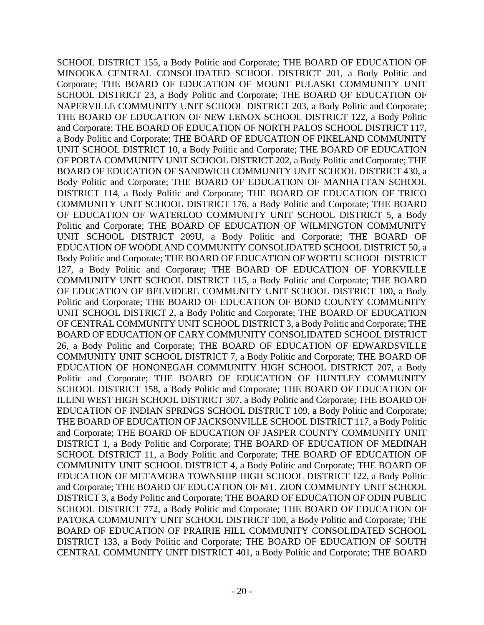and Corporate; THE BOARD OF EDUCATION OF NORTH PALOS SCHOOL DISTRICT 117, COMMUNITY UNIT SCHOOL DISTRICT 7, a Body Politic and Corporate; THE BOARD OF COMMUNITY UNIT SCHOOL DISTRICT 4, a Body Politic and Corporate; THE BOARD OF SCHOOL DISTRICT 155, a Body Politic and Corporate; THE BOARD OF EDUCATION OF MINOOKA CENTRAL CONSOLIDATED SCHOOL DISTRICT 201, a Body Politic and Corporate; THE BOARD OF EDUCATION OF MOUNT PULASKI COMMUNITY UNIT SCHOOL DISTRICT 23, a Body Politic and Corporate; THE BOARD OF EDUCATION OF NAPERVILLE COMMUNITY UNIT SCHOOL DISTRICT 203, a Body Politic and Corporate; THE BOARD OF EDUCATION OF NEW LENOX SCHOOL DISTRICT 122, a Body Politic a Body Politic and Corporate; THE BOARD OF EDUCATION OF PIKELAND COMMUNITY UNIT SCHOOL DISTRICT 10, a Body Politic and Corporate; THE BOARD OF EDUCATION OF PORTA COMMUNITY UNIT SCHOOL DISTRICT 202, a Body Politic and Corporate; THE BOARD OF EDUCATION OF SANDWICH COMMUNITY UNIT SCHOOL DISTRICT 430, a Body Politic and Corporate; THE BOARD OF EDUCATION OF MANHATTAN SCHOOL DISTRICT 114, a Body Politic and Corporate; THE BOARD OF EDUCATION OF TRICO COMMUNITY UNIT SCHOOL DISTRICT 176, a Body Politic and Corporate; THE BOARD OF EDUCATION OF WATERLOO COMMUNITY UNIT SCHOOL DISTRICT 5, a Body Politic and Corporate; THE BOARD OF EDUCATION OF WILMINGTON COMMUNITY UNIT SCHOOL DISTRICT 209U, a Body Politic and Corporate; THE BOARD OF EDUCATION OF WOODLAND COMMUNITY CONSOLIDATED SCHOOL DISTRICT 50, a Body Politic and Corporate; THE BOARD OF EDUCATION OF WORTH SCHOOL DISTRICT 127, a Body Politic and Corporate; THE BOARD OF EDUCATION OF YORKVILLE COMMUNITY UNIT SCHOOL DISTRICT 115, a Body Politic and Corporate; THE BOARD OF EDUCATION OF BELVIDERE COMMUNITY UNIT SCHOOL DISTRICT 100, a Body Politic and Corporate; THE BOARD OF EDUCATION OF BOND COUNTY COMMUNITY UNIT SCHOOL DISTRICT 2, a Body Politic and Corporate; THE BOARD OF EDUCATION OF CENTRAL COMMUNITY UNIT SCHOOL DISTRICT 3, a Body Politic and Corporate; THE BOARD OF EDUCATION OF CARY COMMUNITY CONSOLIDATED SCHOOL DISTRICT 26, a Body Politic and Corporate; THE BOARD OF EDUCATION OF EDWARDSVILLE EDUCATION OF HONONEGAH COMMUNITY HIGH SCHOOL DISTRICT 207, a Body Politic and Corporate; THE BOARD OF EDUCATION OF HUNTLEY COMMUNITY SCHOOL DISTRICT 158, a Body Politic and Corporate; THE BOARD OF EDUCATION OF ILLINI WEST HIGH SCHOOL DISTRICT 307, a Body Politic and Corporate; THE BOARD OF EDUCATION OF INDIAN SPRINGS SCHOOL DISTRICT 109, a Body Politic and Corporate; THE BOARD OF EDUCATION OF JACKSONVILLE SCHOOL DISTRICT 117, a Body Politic and Corporate; THE BOARD OF EDUCATION OF JASPER COUNTY COMMUNITY UNIT DISTRICT 1, a Body Politic and Corporate; THE BOARD OF EDUCATION OF MEDINAH SCHOOL DISTRICT 11, a Body Politic and Corporate; THE BOARD OF EDUCATION OF EDUCATION OF METAMORA TOWNSHIP HIGH SCHOOL DISTRICT 122, a Body Politic and Corporate; THE BOARD OF EDUCATION OF MT. ZION COMMUNTY UNIT SCHOOL DISTRICT 3, a Body Politic and Corporate; THE BOARD OF EDUCATION OF ODIN PUBLIC SCHOOL DISTRICT 772, a Body Politic and Corporate; THE BOARD OF EDUCATION OF PATOKA COMMUNITY UNIT SCHOOL DISTRICT 100, a Body Politic and Corporate; THE BOARD OF EDUCATION OF PRAIRIE HILL COMMUNITY CONSOLIDATED SCHOOL DISTRICT 133, a Body Politic and Corporate; THE BOARD OF EDUCATION OF SOUTH CENTRAL COMMUNITY UNIT DISTRICT 401, a Body Politic and Corporate; THE BOARD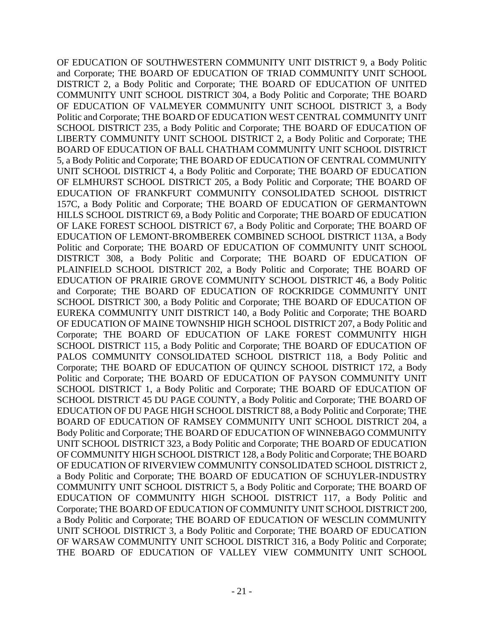EDUCATION OF LEMONT-BROMBEREK COMBINED SCHOOL DISTRICT 113A, a Body OF EDUCATION OF SOUTHWESTERN COMMUNITY UNIT DISTRICT 9, a Body Politic and Corporate; THE BOARD OF EDUCATION OF TRIAD COMMUNITY UNIT SCHOOL DISTRICT 2, a Body Politic and Corporate; THE BOARD OF EDUCATION OF UNITED COMMUNITY UNIT SCHOOL DISTRICT 304, a Body Politic and Corporate; THE BOARD OF EDUCATION OF VALMEYER COMMUNITY UNIT SCHOOL DISTRICT 3, a Body Politic and Corporate; THE BOARD OF EDUCATION WEST CENTRAL COMMUNITY UNIT SCHOOL DISTRICT 235, a Body Politic and Corporate; THE BOARD OF EDUCATION OF LIBERTY COMMUNITY UNIT SCHOOL DISTRICT 2, a Body Politic and Corporate; THE BOARD OF EDUCATION OF BALL CHATHAM COMMUNITY UNIT SCHOOL DISTRICT 5, a Body Politic and Corporate; THE BOARD OF EDUCATION OF CENTRAL COMMUNITY UNIT SCHOOL DISTRICT 4, a Body Politic and Corporate; THE BOARD OF EDUCATION OF ELMHURST SCHOOL DISTRICT 205, a Body Politic and Corporate; THE BOARD OF EDUCATION OF FRANKFURT COMMUNITY CONSOLIDATED SCHOOL DISTRICT 157C, a Body Politic and Corporate; THE BOARD OF EDUCATION OF GERMANTOWN HILLS SCHOOL DISTRICT 69, a Body Politic and Corporate; THE BOARD OF EDUCATION OF LAKE FOREST SCHOOL DISTRICT 67, a Body Politic and Corporate; THE BOARD OF Politic and Corporate; THE BOARD OF EDUCATION OF COMMUNITY UNIT SCHOOL DISTRICT 308, a Body Politic and Corporate; THE BOARD OF EDUCATION OF PLAINFIELD SCHOOL DISTRICT 202, a Body Politic and Corporate; THE BOARD OF EDUCATION OF PRAIRIE GROVE COMMUNITY SCHOOL DISTRICT 46, a Body Politic and Corporate; THE BOARD OF EDUCATION OF ROCKRIDGE COMMUNITY UNIT SCHOOL DISTRICT 300, a Body Politic and Corporate; THE BOARD OF EDUCATION OF EUREKA COMMUNITY UNIT DISTRICT 140, a Body Politic and Corporate; THE BOARD OF EDUCATION OF MAINE TOWNSHIP HIGH SCHOOL DISTRICT 207, a Body Politic and Corporate; THE BOARD OF EDUCATION OF LAKE FOREST COMMUNITY HIGH SCHOOL DISTRICT 115, a Body Politic and Corporate; THE BOARD OF EDUCATION OF PALOS COMMUNITY CONSOLIDATED SCHOOL DISTRICT 118, a Body Politic and Corporate; THE BOARD OF EDUCATION OF QUINCY SCHOOL DISTRICT 172, a Body Politic and Corporate; THE BOARD OF EDUCATION OF PAYSON COMMUNITY UNIT SCHOOL DISTRICT 1, a Body Politic and Corporate; THE BOARD OF EDUCATION OF SCHOOL DISTRICT 45 DU PAGE COUNTY, a Body Politic and Corporate; THE BOARD OF EDUCATION OF DU PAGE HIGH SCHOOL DISTRICT 88, a Body Politic and Corporate; THE BOARD OF EDUCATION OF RAMSEY COMMUNITY UNIT SCHOOL DISTRICT 204, a Body Politic and Corporate; THE BOARD OF EDUCATION OF WINNEBAGO COMMUNITY UNIT SCHOOL DISTRICT 323, a Body Politic and Corporate; THE BOARD OF EDUCATION OF COMMUNITY HIGH SCHOOL DISTRICT 128, a Body Politic and Corporate; THE BOARD OF EDUCATION OF RIVERVIEW COMMUNITY CONSOLIDATED SCHOOL DISTRICT 2, a Body Politic and Corporate; THE BOARD OF EDUCATION OF SCHUYLER-INDUSTRY COMMUNITY UNIT SCHOOL DISTRICT 5, a Body Politic and Corporate; THE BOARD OF EDUCATION OF COMMUNITY HIGH SCHOOL DISTRICT 117, a Body Politic and Corporate; THE BOARD OF EDUCATION OF COMMUNITY UNIT SCHOOL DISTRICT 200, a Body Politic and Corporate; THE BOARD OF EDUCATION OF WESCLIN COMMUNITY UNIT SCHOOL DISTRICT 3, a Body Politic and Corporate; THE BOARD OF EDUCATION OF WARSAW COMMUNITY UNIT SCHOOL DISTRICT 316, a Body Politic and Corporate; THE BOARD OF EDUCATION OF VALLEY VIEW COMMUNITY UNIT SCHOOL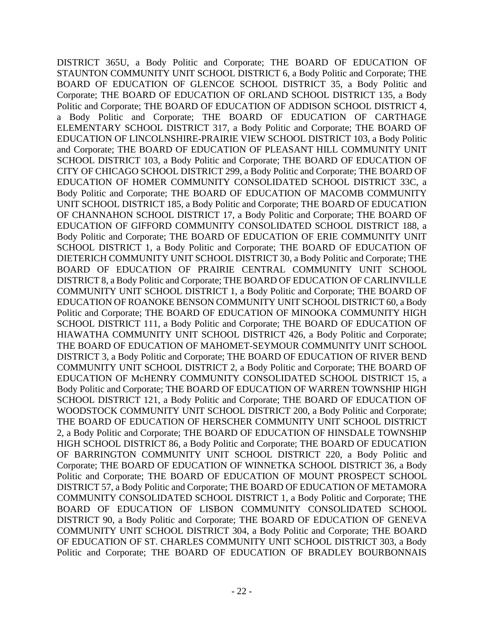ELEMENTARY SCHOOL DISTRICT 317, a Body Politic and Corporate; THE BOARD OF Body Politic and Corporate; THE BOARD OF EDUCATION OF WARREN TOWNSHIP HIGH 2, a Body Politic and Corporate; THE BOARD OF EDUCATION OF HINSDALE TOWNSHIP DISTRICT 365U, a Body Politic and Corporate; THE BOARD OF EDUCATION OF STAUNTON COMMUNITY UNIT SCHOOL DISTRICT 6, a Body Politic and Corporate; THE BOARD OF EDUCATION OF GLENCOE SCHOOL DISTRICT 35, a Body Politic and Corporate; THE BOARD OF EDUCATION OF ORLAND SCHOOL DISTRICT 135, a Body Politic and Corporate; THE BOARD OF EDUCATION OF ADDISON SCHOOL DISTRICT 4, a Body Politic and Corporate; THE BOARD OF EDUCATION OF CARTHAGE EDUCATION OF LINCOLNSHIRE-PRAIRIE VIEW SCHOOL DISTRICT 103, a Body Politic and Corporate; THE BOARD OF EDUCATION OF PLEASANT HILL COMMUNITY UNIT SCHOOL DISTRICT 103, a Body Politic and Corporate; THE BOARD OF EDUCATION OF CITY OF CHICAGO SCHOOL DISTRICT 299, a Body Politic and Corporate; THE BOARD OF EDUCATION OF HOMER COMMUNITY CONSOLIDATED SCHOOL DISTRICT 33C, a Body Politic and Corporate; THE BOARD OF EDUCATION OF MACOMB COMMUNITY UNIT SCHOOL DISTRICT 185, a Body Politic and Corporate; THE BOARD OF EDUCATION OF CHANNAHON SCHOOL DISTRICT 17, a Body Politic and Corporate; THE BOARD OF EDUCATION OF GIFFORD COMMUNITY CONSOLIDATED SCHOOL DISTRICT 188, a Body Politic and Corporate; THE BOARD OF EDUCATION OF ERIE COMMUNITY UNIT SCHOOL DISTRICT 1, a Body Politic and Corporate; THE BOARD OF EDUCATION OF DIETERICH COMMUNITY UNIT SCHOOL DISTRICT 30, a Body Politic and Corporate; THE BOARD OF EDUCATION OF PRAIRIE CENTRAL COMMUNITY UNIT SCHOOL DISTRICT 8, a Body Politic and Corporate; THE BOARD OF EDUCATION OF CARLINVILLE COMMUNITY UNIT SCHOOL DISTRICT 1, a Body Politic and Corporate; THE BOARD OF EDUCATION OF ROANOKE BENSON COMMUNITY UNIT SCHOOL DISTRICT 60, a Body Politic and Corporate; THE BOARD OF EDUCATION OF MINOOKA COMMUNITY HIGH SCHOOL DISTRICT 111, a Body Politic and Corporate; THE BOARD OF EDUCATION OF HIAWATHA COMMUNITY UNIT SCHOOL DISTRICT 426, a Body Politic and Corporate; THE BOARD OF EDUCATION OF MAHOMET-SEYMOUR COMMUNITY UNIT SCHOOL DISTRICT 3, a Body Politic and Corporate; THE BOARD OF EDUCATION OF RIVER BEND COMMUNITY UNIT SCHOOL DISTRICT 2, a Body Politic and Corporate; THE BOARD OF EDUCATION OF McHENRY COMMUNITY CONSOLIDATED SCHOOL DISTRICT 15, a SCHOOL DISTRICT 121, a Body Politic and Corporate; THE BOARD OF EDUCATION OF WOODSTOCK COMMUNITY UNIT SCHOOL DISTRICT 200, a Body Politic and Corporate; THE BOARD OF EDUCATION OF HERSCHER COMMUNITY UNIT SCHOOL DISTRICT HIGH SCHOOL DISTRICT 86, a Body Politic and Corporate; THE BOARD OF EDUCATION OF BARRINGTON COMMUNITY UNIT SCHOOL DISTRICT 220, a Body Politic and Corporate; THE BOARD OF EDUCATION OF WINNETKA SCHOOL DISTRICT 36, a Body Politic and Corporate; THE BOARD OF EDUCATION OF MOUNT PROSPECT SCHOOL DISTRICT 57, a Body Politic and Corporate; THE BOARD OF EDUCATION OF METAMORA COMMUNITY CONSOLIDATED SCHOOL DISTRICT 1, a Body Politic and Corporate; THE BOARD OF EDUCATION OF LISBON COMMUNITY CONSOLIDATED SCHOOL DISTRICT 90, a Body Politic and Corporate; THE BOARD OF EDUCATION OF GENEVA COMMUNITY UNIT SCHOOL DISTRICT 304, a Body Politic and Corporate; THE BOARD OF EDUCATION OF ST. CHARLES COMMUNITY UNIT SCHOOL DISTRICT 303, a Body Politic and Corporate; THE BOARD OF EDUCATION OF BRADLEY BOURBONNAIS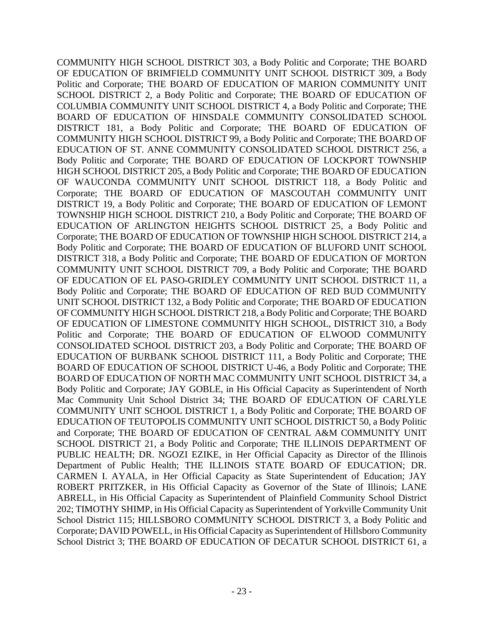TOWNSHIP HIGH SCHOOL DISTRICT 210, a Body Politic and Corporate; THE BOARD OF COMMUNITY UNIT SCHOOL DISTRICT 1, a Body Politic and Corporate; THE BOARD OF PUBLIC HEALTH; DR. NGOZI EZIKE, in Her Official Capacity as Director of the Illinois Department of Public Health; THE ILLINOIS STATE BOARD OF EDUCATION; DR. COMMUNITY HIGH SCHOOL DISTRICT 303, a Body Politic and Corporate; THE BOARD OF EDUCATION OF BRIMFIELD COMMUNITY UNIT SCHOOL DISTRICT 309, a Body Politic and Corporate; THE BOARD OF EDUCATION OF MARION COMMUNITY UNIT SCHOOL DISTRICT 2, a Body Politic and Corporate; THE BOARD OF EDUCATION OF COLUMBIA COMMUNITY UNIT SCHOOL DISTRICT 4, a Body Politic and Corporate; THE BOARD OF EDUCATION OF HINSDALE COMMUNITY CONSOLIDATED SCHOOL DISTRICT 181, a Body Politic and Corporate; THE BOARD OF EDUCATION OF COMMUNITY HIGH SCHOOL DISTRICT 99, a Body Politic and Corporate; THE BOARD OF EDUCATION OF ST. ANNE COMMUNITY CONSOLIDATED SCHOOL DISTRICT 256, a Body Politic and Corporate; THE BOARD OF EDUCATION OF LOCKPORT TOWNSHIP HIGH SCHOOL DISTRICT 205, a Body Politic and Corporate; THE BOARD OF EDUCATION OF WAUCONDA COMMUNITY UNIT SCHOOL DISTRICT 118, a Body Politic and Corporate; THE BOARD OF EDUCATION OF MASCOUTAH COMMUNITY UNIT DISTRICT 19, a Body Politic and Corporate; THE BOARD OF EDUCATION OF LEMONT EDUCATION OF ARLINGTON HEIGHTS SCHOOL DISTRICT 25, a Body Politic and Corporate; THE BOARD OF EDUCATION OF TOWNSHIP HIGH SCHOOL DISTRICT 214, a Body Politic and Corporate; THE BOARD OF EDUCATION OF BLUFORD UNIT SCHOOL DISTRICT 318, a Body Politic and Corporate; THE BOARD OF EDUCATION OF MORTON COMMUNITY UNIT SCHOOL DISTRICT 709, a Body Politic and Corporate; THE BOARD OF EDUCATION OF EL PASO-GRIDLEY COMMUNITY UNIT SCHOOL DISTRICT 11, a Body Politic and Corporate; THE BOARD OF EDUCATION OF RED BUD COMMUNITY UNIT SCHOOL DISTRICT 132, a Body Politic and Corporate; THE BOARD OF EDUCATION OF COMMUNITY HIGH SCHOOL DISTRICT 218, a Body Politic and Corporate; THE BOARD OF EDUCATION OF LIMESTONE COMMUNITY HIGH SCHOOL, DISTRICT 310, a Body Politic and Corporate; THE BOARD OF EDUCATION OF ELWOOD COMMUNITY CONSOLIDATED SCHOOL DISTRICT 203, a Body Politic and Corporate; THE BOARD OF EDUCATION OF BURBANK SCHOOL DISTRICT 111, a Body Politic and Corporate; THE BOARD OF EDUCATION OF SCHOOL DISTRICT U-46, a Body Politic and Corporate; THE BOARD OF EDUCATION OF NORTH MAC COMMUNITY UNIT SCHOOL DISTRICT 34, a Body Politic and Corporate; JAY GOBLE, in His Official Capacity as Superintendent of North Mac Community Unit School District 34; THE BOARD OF EDUCATION OF CARLYLE EDUCATION OF TEUTOPOLIS COMMUNITY UNIT SCHOOL DISTRICT 50, a Body Politic and Corporate; THE BOARD OF EDUCATION OF CENTRAL A&M COMMUNITY UNIT SCHOOL DISTRICT 21, a Body Politic and Corporate; THE ILLINOIS DEPARTMENT OF CARMEN I. AYALA, in Her Official Capacity as State Superintendent of Education; JAY ROBERT PRITZKER, in His Official Capacity as Governor of the State of Illinois; LANE ABRELL, in His Official Capacity as Superintendent of Plainfield Community School District 202; TIMOTHY SHIMP, in His Official Capacity as Superintendent of Yorkville Community Unit School District 115; HILLSBORO COMMUNITY SCHOOL DISTRICT 3, a Body Politic and Corporate; DAVID POWELL, in His Official Capacity as Superintendent of Hillsboro Community School District 3; THE BOARD OF EDUCATION OF DECATUR SCHOOL DISTRICT 61, a